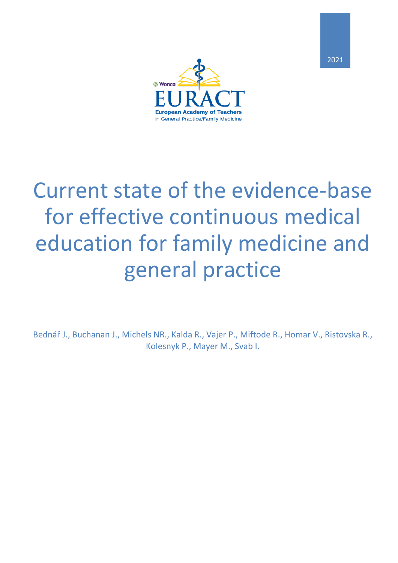

# Current state of the evidence-base for effective continuous medical education for family medicine and general practice

Bednář J., Buchanan J., Michels NR., Kalda R., Vajer P., Miftode R., Homar V., Ristovska R., Kolesnyk P., Mayer M., Svab I.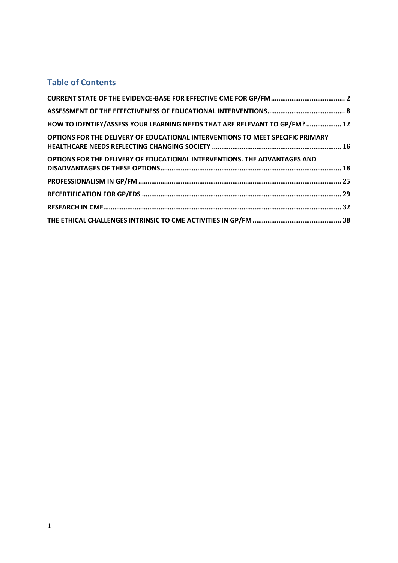### **Table of Contents**

| HOW TO IDENTIFY/ASSESS YOUR LEARNING NEEDS THAT ARE RELEVANT TO GP/FM?  12     |  |
|--------------------------------------------------------------------------------|--|
| OPTIONS FOR THE DELIVERY OF EDUCATIONAL INTERVENTIONS TO MEET SPECIFIC PRIMARY |  |
| OPTIONS FOR THE DELIVERY OF EDUCATIONAL INTERVENTIONS. THE ADVANTAGES AND      |  |
|                                                                                |  |
|                                                                                |  |
|                                                                                |  |
|                                                                                |  |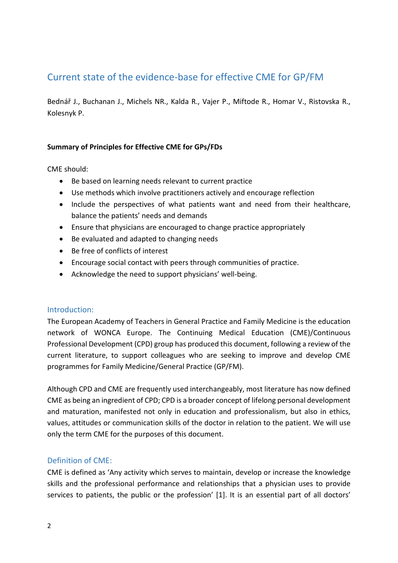# Current state of the evidence-base for effective CME for GP/FM

Bednář J., Buchanan J., Michels NR., Kalda R., Vajer P., Miftode R., Homar V., Ristovska R., Kolesnyk P.

### **Summary of Principles for Effective CME for GPs/FDs**

CME should:

- Be based on learning needs relevant to current practice
- Use methods which involve practitioners actively and encourage reflection
- Include the perspectives of what patients want and need from their healthcare, balance the patients' needs and demands
- Ensure that physicians are encouraged to change practice appropriately
- Be evaluated and adapted to changing needs
- Be free of conflicts of interest
- Encourage social contact with peers through communities of practice.
- Acknowledge the need to support physicians' well-being.

### Introduction:

The European Academy of Teachers in General Practice and Family Medicine is the education network of WONCA Europe. The Continuing Medical Education (CME)/Continuous Professional Development (CPD) group has produced this document, following a review of the current literature, to support colleagues who are seeking to improve and develop CME programmes for Family Medicine/General Practice (GP/FM).

Although CPD and CME are frequently used interchangeably, most literature has now defined CME as being an ingredient of CPD; CPD is a broader concept of lifelong personal development and maturation, manifested not only in education and professionalism, but also in ethics, values, attitudes or communication skills of the doctor in relation to the patient. We will use only the term CME for the purposes of this document.

### Definition of CME:

CME is defined as 'Any activity which serves to maintain, develop or increase the knowledge skills and the professional performance and relationships that a physician uses to provide services to patients, the public or the profession' [1]. It is an essential part of all doctors'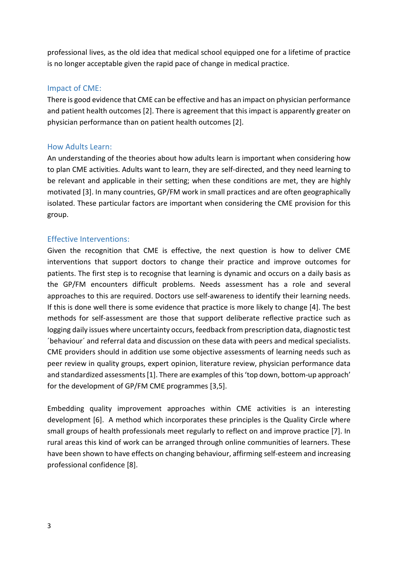professional lives, as the old idea that medical school equipped one for a lifetime of practice is no longer acceptable given the rapid pace of change in medical practice.

### Impact of CME:

There is good evidence that CME can be effective and has an impact on physician performance and patient health outcomes [2]. There is agreement that this impact is apparently greater on physician performance than on patient health outcomes [2].

### How Adults Learn:

An understanding of the theories about how adults learn is important when considering how to plan CME activities. Adults want to learn, they are self-directed, and they need learning to be relevant and applicable in their setting; when these conditions are met, they are highly motivated [3]. In many countries, GP/FM work in small practices and are often geographically isolated. These particular factors are important when considering the CME provision for this group.

### Effective Interventions:

Given the recognition that CME is effective, the next question is how to deliver CME interventions that support doctors to change their practice and improve outcomes for patients. The first step is to recognise that learning is dynamic and occurs on a daily basis as the GP/FM encounters difficult problems. Needs assessment has a role and several approaches to this are required. Doctors use self-awareness to identify their learning needs. If this is done well there is some evidence that practice is more likely to change [4]. The best methods for self-assessment are those that support deliberate reflective practice such as logging daily issues where uncertainty occurs, feedback from prescription data, diagnostic test ´behaviour´ and referral data and discussion on these data with peers and medical specialists. CME providers should in addition use some objective assessments of learning needs such as peer review in quality groups, expert opinion, literature review, physician performance data and standardized assessments [1]. There are examples of this 'top down, bottom-up approach' for the development of GP/FM CME programmes [3,5].

Embedding quality improvement approaches within CME activities is an interesting development [6]. A method which incorporates these principles is the Quality Circle where small groups of health professionals meet regularly to reflect on and improve practice [7]. In rural areas this kind of work can be arranged through online communities of learners. These have been shown to have effects on changing behaviour, affirming self-esteem and increasing professional confidence [8].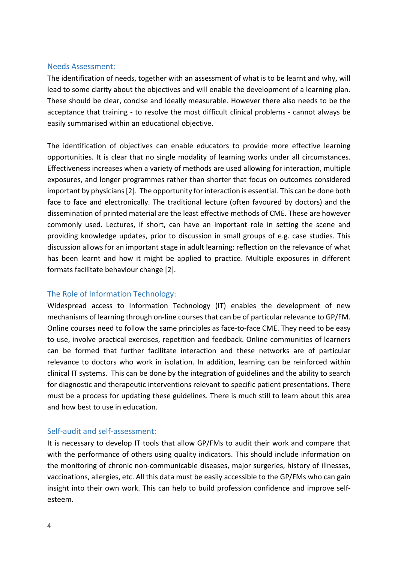#### Needs Assessment:

The identification of needs, together with an assessment of what is to be learnt and why, will lead to some clarity about the objectives and will enable the development of a learning plan. These should be clear, concise and ideally measurable. However there also needs to be the acceptance that training - to resolve the most difficult clinical problems - cannot always be easily summarised within an educational objective.

The identification of objectives can enable educators to provide more effective learning opportunities. It is clear that no single modality of learning works under all circumstances. Effectiveness increases when a variety of methods are used allowing for interaction, multiple exposures, and longer programmes rather than shorter that focus on outcomes considered important by physicians[2]. The opportunity for interaction is essential. This can be done both face to face and electronically. The traditional lecture (often favoured by doctors) and the dissemination of printed material are the least effective methods of CME. These are however commonly used. Lectures, if short, can have an important role in setting the scene and providing knowledge updates, prior to discussion in small groups of e.g. case studies. This discussion allows for an important stage in adult learning: reflection on the relevance of what has been learnt and how it might be applied to practice. Multiple exposures in different formats facilitate behaviour change [2].

### The Role of Information Technology:

Widespread access to Information Technology (IT) enables the development of new mechanisms of learning through on-line courses that can be of particular relevance to GP/FM. Online courses need to follow the same principles as face-to-face CME. They need to be easy to use, involve practical exercises, repetition and feedback. Online communities of learners can be formed that further facilitate interaction and these networks are of particular relevance to doctors who work in isolation. In addition, learning can be reinforced within clinical IT systems. This can be done by the integration of guidelines and the ability to search for diagnostic and therapeutic interventions relevant to specific patient presentations. There must be a process for updating these guidelines. There is much still to learn about this area and how best to use in education.

### Self-audit and self-assessment:

It is necessary to develop IT tools that allow GP/FMs to audit their work and compare that with the performance of others using quality indicators. This should include information on the monitoring of chronic non-communicable diseases, major surgeries, history of illnesses, vaccinations, allergies, etc. All this data must be easily accessible to the GP/FMs who can gain insight into their own work. This can help to build profession confidence and improve selfesteem.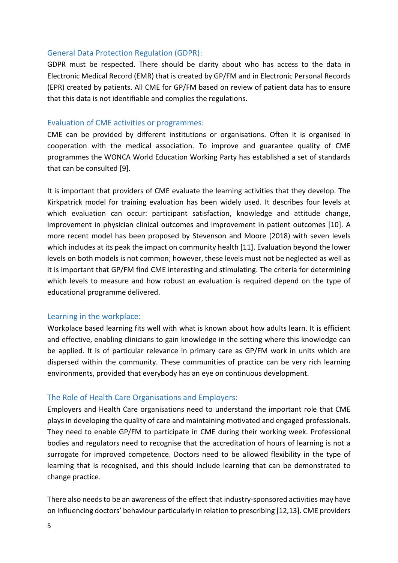### General Data Protection Regulation (GDPR):

GDPR must be respected. There should be clarity about who has access to the data in Electronic Medical Record (EMR) that is created by GP/FM and in Electronic Personal Records (EPR) created by patients. All CME for GP/FM based on review of patient data has to ensure that this data is not identifiable and complies the regulations.

### Evaluation of CME activities or programmes:

CME can be provided by different institutions or organisations. Often it is organised in cooperation with the medical association. To improve and guarantee quality of CME programmes the WONCA World Education Working Party has established a set of standards that can be consulted [9].

It is important that providers of CME evaluate the learning activities that they develop. The Kirkpatrick model for training evaluation has been widely used. It describes four levels at which evaluation can occur: participant satisfaction, knowledge and attitude change, improvement in physician clinical outcomes and improvement in patient outcomes [10]. A more recent model has been proposed by Stevenson and Moore (2018) with seven levels which includes at its peak the impact on community health [11]. Evaluation beyond the lower levels on both models is not common; however, these levels must not be neglected as well as it is important that GP/FM find CME interesting and stimulating. The criteria for determining which levels to measure and how robust an evaluation is required depend on the type of educational programme delivered.

### Learning in the workplace:

Workplace based learning fits well with what is known about how adults learn. It is efficient and effective, enabling clinicians to gain knowledge in the setting where this knowledge can be applied. It is of particular relevance in primary care as GP/FM work in units which are dispersed within the community. These communities of practice can be very rich learning environments, provided that everybody has an eye on continuous development.

### The Role of Health Care Organisations and Employers:

Employers and Health Care organisations need to understand the important role that CME plays in developing the quality of care and maintaining motivated and engaged professionals. They need to enable GP/FM to participate in CME during their working week. Professional bodies and regulators need to recognise that the accreditation of hours of learning is not a surrogate for improved competence. Doctors need to be allowed flexibility in the type of learning that is recognised, and this should include learning that can be demonstrated to change practice.

There also needs to be an awareness of the effect that industry-sponsored activities may have on influencing doctors' behaviour particularly in relation to prescribing [12,13]. CME providers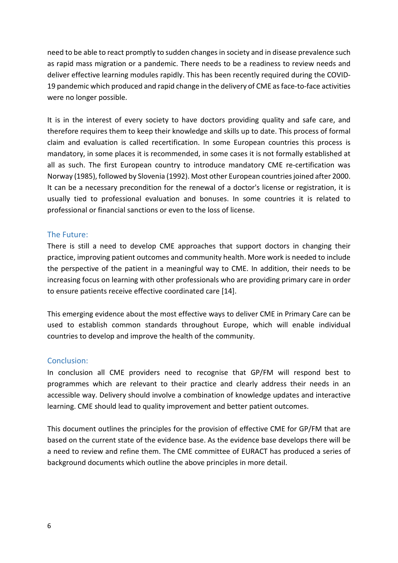need to be able to react promptly to sudden changes in society and in disease prevalence such as rapid mass migration or a pandemic. There needs to be a readiness to review needs and deliver effective learning modules rapidly. This has been recently required during the COVID-19 pandemic which produced and rapid change in the delivery of CME asface-to-face activities were no longer possible.

It is in the interest of every society to have doctors providing quality and safe care, and therefore requires them to keep their knowledge and skills up to date. This process of formal claim and evaluation is called recertification. In some European countries this process is mandatory, in some places it is recommended, in some cases it is not formally established at all as such. The first European country to introduce mandatory CME re-certification was Norway (1985), followed by Slovenia (1992). Most other European countriesjoined after 2000. It can be a necessary precondition for the renewal of a doctor's license or registration, it is usually tied to professional evaluation and bonuses. In some countries it is related to professional or financial sanctions or even to the loss of license.

### The Future:

There is still a need to develop CME approaches that support doctors in changing their practice, improving patient outcomes and community health. More work is needed to include the perspective of the patient in a meaningful way to CME. In addition, their needs to be increasing focus on learning with other professionals who are providing primary care in order to ensure patients receive effective coordinated care [14].

This emerging evidence about the most effective ways to deliver CME in Primary Care can be used to establish common standards throughout Europe, which will enable individual countries to develop and improve the health of the community.

### Conclusion:

In conclusion all CME providers need to recognise that GP/FM will respond best to programmes which are relevant to their practice and clearly address their needs in an accessible way. Delivery should involve a combination of knowledge updates and interactive learning. CME should lead to quality improvement and better patient outcomes.

This document outlines the principles for the provision of effective CME for GP/FM that are based on the current state of the evidence base. As the evidence base develops there will be a need to review and refine them. The CME committee of EURACT has produced a series of background documents which outline the above principles in more detail.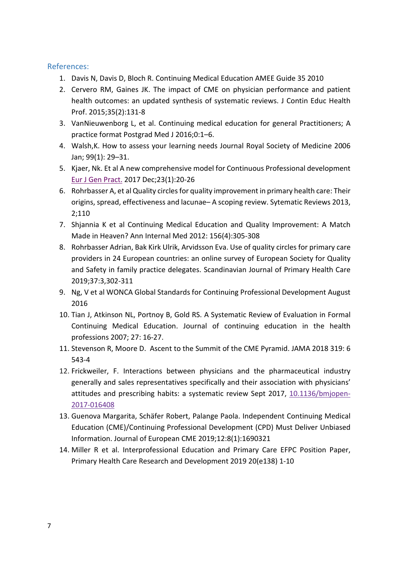- 1. Davis N, Davis D, Bloch R. Continuing Medical Education AMEE Guide 35 2010
- 2. Cervero RM, Gaines JK. The impact of CME on physician performance and patient health outcomes: an updated synthesis of systematic reviews. J Contin Educ Health Prof. 2015;35(2):131-8
- 3. VanNieuwenborg L, et al. Continuing medical education for general Practitioners; A practice format Postgrad Med J 2016;0:1–6.
- 4. Walsh,K. How to assess your learning needs Journal Royal Society of Medicine 2006 Jan; 99(1): 29–31.
- 5. Kjaer, Nk. Et al A new comprehensive model for Continuous Professional development Eur J Gen [Pract.](https://www.ncbi.nlm.nih.gov/pubmed/27997259) 2017 Dec;23(1):20-26
- 6. Rohrbasser A, et al Quality circles for quality improvement in primary health care: Their origins, spread, effectiveness and lacunae– A scoping review. Sytematic Reviews 2013, 2;110
- 7. Shjannia K et al Continuing Medical Education and Quality Improvement: A Match Made in Heaven? Ann Internal Med 2012: 156(4):305-308
- 8. Rohrbasser Adrian, Bak Kirk Ulrik, Arvidsson Eva. Use of quality circles for primary care providers in 24 European countries: an online survey of European Society for Quality and Safety in family practice delegates. Scandinavian Journal of Primary Health Care 2019;37:3,302-311
- 9. Ng, V et al WONCA Global Standards for Continuing Professional Development August 2016
- 10. Tian J, Atkinson NL, Portnoy B, Gold RS. A Systematic Review of Evaluation in Formal Continuing Medical Education. Journal of continuing education in the health professions 2007; 27: 16-27.
- 11. Stevenson R, Moore D. Ascent to the Summit of the CME Pyramid. JAMA 2018 319: 6 543-4
- 12. Frickweiler, F. Interactions between physicians and the pharmaceutical industry generally and sales representatives specifically and their association with physicians' attitudes and prescribing habits: a systematic review Sept 2017, [10.1136/bmjopen](https://dx.doi.org/10.1136%2Fbmjopen-2017-016408)-[2017-016408](https://dx.doi.org/10.1136%2Fbmjopen-2017-016408)
- 13. Guenova Margarita, Schäfer Robert, Palange Paola. Independent Continuing Medical Education (CME)/Continuing Professional Development (CPD) Must Deliver Unbiased Information. Journal of European CME 2019;12:8(1):1690321
- 14. Miller R et al. Interprofessional Education and Primary Care EFPC Position Paper, Primary Health Care Research and Development 2019 20(e138) 1-10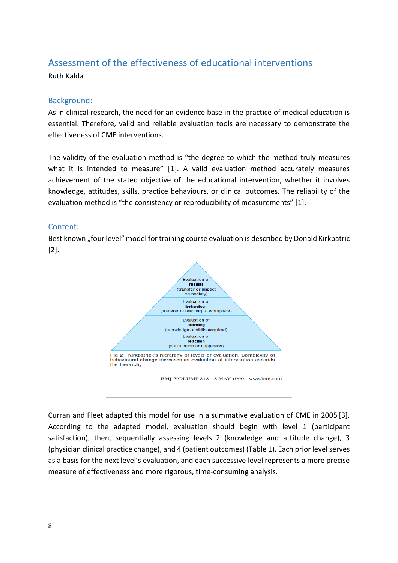# Assessment of the effectiveness of educational interventions

Ruth Kalda

### Background:

As in clinical research, the need for an evidence base in the practice of medical education is essential. Therefore, valid and reliable evaluation tools are necessary to demonstrate the effectiveness of CME interventions.

The validity of the evaluation method is "the degree to which the method truly measures what it is intended to measure" [1]. A valid evaluation method accurately measures achievement of the stated objective of the educational intervention, whether it involves knowledge, attitudes, skills, practice behaviours, or clinical outcomes. The reliability of the evaluation method is "the consistency or reproducibility of measurements" [1].

### Content:

Best known "four level" model for training course evaluation is described by Donald Kirkpatric [2].



BMJ VOLUME 318 8 MAY 1999 www.bmj.com

Curran and Fleet adapted this model for use in a summative evaluation of CME in 2005 [3]. According to the adapted model, evaluation should begin with level 1 (participant satisfaction), then, sequentially assessing levels 2 (knowledge and attitude change), 3 (physician clinical practice change), and 4 (patient outcomes) (Table 1). Each prior level serves as a basis for the next level's evaluation, and each successive level represents a more precise measure of effectiveness and more rigorous, time-consuming analysis.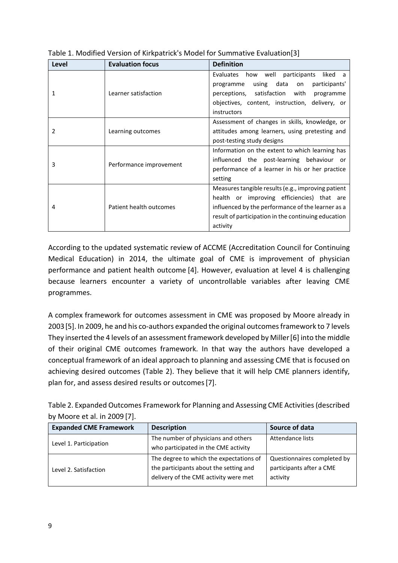| Level | <b>Evaluation focus</b> | <b>Definition</b>                                   |
|-------|-------------------------|-----------------------------------------------------|
|       |                         | Evaluates how well participants liked a             |
|       |                         | using data<br>participants'<br>programme<br>on      |
| 1     | Learner satisfaction    | perceptions, satisfaction with<br>programme         |
|       |                         | objectives, content, instruction, delivery, or      |
|       |                         | instructors                                         |
|       |                         | Assessment of changes in skills, knowledge, or      |
| 2     | Learning outcomes       | attitudes among learners, using pretesting and      |
|       |                         | post-testing study designs                          |
|       |                         | Information on the extent to which learning has     |
| 3     | Performance improvement | influenced the post-learning behaviour or           |
|       |                         | performance of a learner in his or her practice     |
|       |                         | setting                                             |
| 4     | Patient health outcomes | Measures tangible results (e.g., improving patient  |
|       |                         | health or improving efficiencies) that are          |
|       |                         | influenced by the performance of the learner as a   |
|       |                         | result of participation in the continuing education |
|       |                         | activity                                            |

Table 1. Modified Version of Kirkpatrick's Model for Summative Evaluation[3]

According to the updated systematic review of ACCME (Accreditation Council for Continuing Medical Education) in 2014, the ultimate goal of CME is improvement of physician performance and patient health outcome [4]. However, evaluation at level 4 is challenging because learners encounter a variety of uncontrollable variables after leaving CME programmes.

A complex framework for outcomes assessment in CME was proposed by Moore already in 2003[5]. In 2009, he and his co-authors expanded the original outcomes framework to 7 levels They inserted the 4 levels of an assessment framework developed by Miller[6] into the middle of their original CME outcomes framework. In that way the authors have developed a conceptual framework of an ideal approach to planning and assessing CME that is focused on achieving desired outcomes (Table 2). They believe that it will help CME planners identify, plan for, and assess desired results or outcomes[7].

Table 2. Expanded Outcomes Framework for Planning and Assessing CME Activities (described by Moore et al. in 2009 [7].

| <b>Expanded CME Framework</b> | <b>Description</b>                                                                                                         | Source of data                                                      |
|-------------------------------|----------------------------------------------------------------------------------------------------------------------------|---------------------------------------------------------------------|
| Level 1. Participation        | The number of physicians and others<br>who participated in the CME activity                                                | Attendance lists                                                    |
| Level 2. Satisfaction         | The degree to which the expectations of<br>the participants about the setting and<br>delivery of the CME activity were met | Questionnaires completed by<br>participants after a CME<br>activity |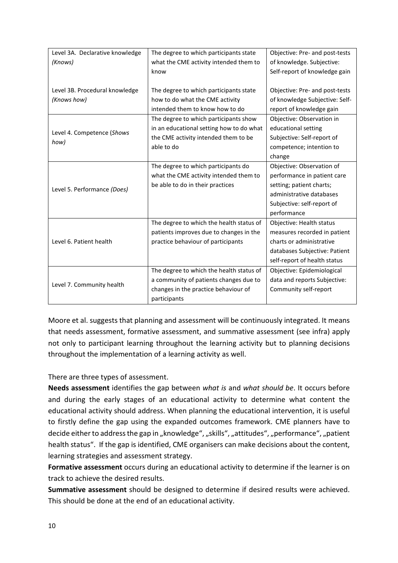| Level 3A. Declarative knowledge | The degree to which participants state   | Objective: Pre- and post-tests |
|---------------------------------|------------------------------------------|--------------------------------|
| (Knows)                         | what the CME activity intended them to   | of knowledge. Subjective:      |
|                                 | know                                     | Self-report of knowledge gain  |
|                                 |                                          |                                |
| Level 3B. Procedural knowledge  | The degree to which participants state   | Objective: Pre- and post-tests |
| (Knows how)                     | how to do what the CME activity          | of knowledge Subjective: Self- |
|                                 | intended them to know how to do          | report of knowledge gain       |
|                                 | The degree to which participants show    | Objective: Observation in      |
|                                 | in an educational setting how to do what | educational setting            |
| Level 4. Competence (Shows      | the CME activity intended them to be     | Subjective: Self-report of     |
| how)                            | able to do                               | competence; intention to       |
|                                 |                                          | change                         |
|                                 | The degree to which participants do      | Objective: Observation of      |
|                                 | what the CME activity intended them to   | performance in patient care    |
| Level 5. Performance (Does)     | be able to do in their practices         | setting; patient charts;       |
|                                 |                                          | administrative databases       |
|                                 |                                          | Subjective: self-report of     |
|                                 |                                          | performance                    |
|                                 | The degree to which the health status of | Objective: Health status       |
|                                 | patients improves due to changes in the  | measures recorded in patient   |
| Level 6. Patient health         | practice behaviour of participants       | charts or administrative       |
|                                 |                                          | databases Subjective: Patient  |
|                                 |                                          | self-report of health status   |
|                                 | The degree to which the health status of | Objective: Epidemiological     |
| Level 7. Community health       | a community of patients changes due to   | data and reports Subjective:   |
|                                 | changes in the practice behaviour of     | Community self-report          |
|                                 | participants                             |                                |

Moore et al. suggests that planning and assessment will be continuously integrated. It means that needs assessment, formative assessment, and summative assessment (see infra) apply not only to participant learning throughout the learning activity but to planning decisions throughout the implementation of a learning activity as well.

### There are three types of assessment.

**Needs assessment** identifies the gap between *what is* and *what should be*. It occurs before and during the early stages of an educational activity to determine what content the educational activity should address. When planning the educational intervention, it is useful to firstly define the gap using the expanded outcomes framework. CME planners have to decide either to address the gap in "knowledge", "skills", "attitudes", "performance", "patient health status". If the gap is identified, CME organisers can make decisions about the content, learning strategies and assessment strategy.

**Formative assessment** occurs during an educational activity to determine if the learner is on track to achieve the desired results.

**Summative assessment** should be designed to determine if desired results were achieved. This should be done at the end of an educational activity.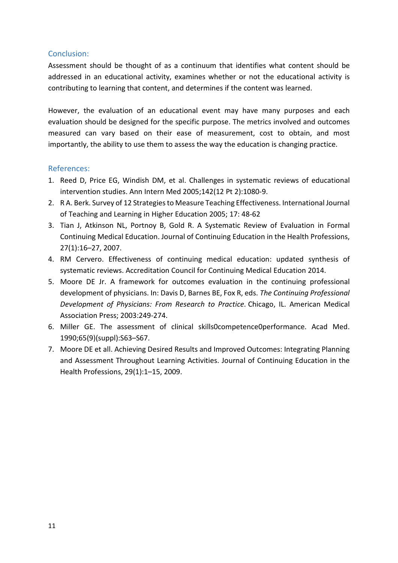### Conclusion:

Assessment should be thought of as a continuum that identifies what content should be addressed in an educational activity, examines whether or not the educational activity is contributing to learning that content, and determines if the content was learned.

However, the evaluation of an educational event may have many purposes and each evaluation should be designed for the specific purpose. The metrics involved and outcomes measured can vary based on their ease of measurement, cost to obtain, and most importantly, the ability to use them to assess the way the education is changing practice.

- 1. Reed D, Price EG, Windish DM, et al. Challenges in systematic reviews of educational intervention studies. Ann Intern Med 2005;142(12 Pt 2):1080-9.
- 2. R A. Berk. Survey of 12 Strategies to Measure Teaching Effectiveness. International Journal of Teaching and Learning in Higher Education 2005; 17: 48-62
- 3. Tian J, Atkinson NL, Portnoy B, Gold R. A Systematic Review of Evaluation in Formal Continuing Medical Education. Journal of Continuing Education in the Health Professions, 27(1):16–27, 2007.
- 4. RM Cervero. Effectiveness of continuing medical education: updated synthesis of systematic reviews. Accreditation Council for Continuing Medical Education 2014.
- 5. Moore DE Jr. A framework for outcomes evaluation in the continuing professional development of physicians. In: Davis D, Barnes BE, Fox R, eds. *The Continuing Professional Development of Physicians: From Research to Practice.* Chicago, IL. American Medical Association Press; 2003:249-274.
- 6. Miller GE. The assessment of clinical skills0competence0performance. Acad Med. 1990;65(9)(suppl):S63–S67.
- 7. Moore DE et all. Achieving Desired Results and Improved Outcomes: Integrating Planning and Assessment Throughout Learning Activities. Journal of Continuing Education in the Health Professions, 29(1):1–15, 2009.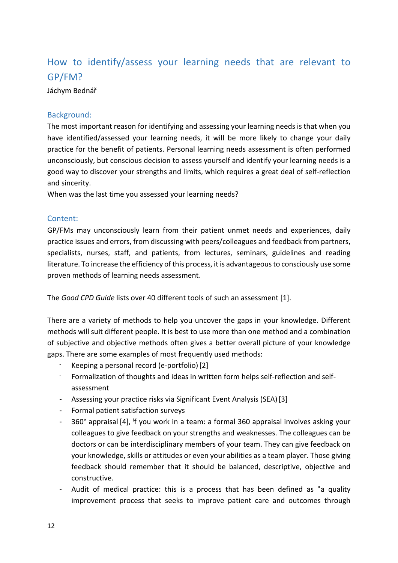# How to identify/assess your learning needs that are relevant to GP/FM?

Jáchym Bednář

### Background:

The most important reason for identifying and assessing your learning needs is that when you have identified/assessed your learning needs, it will be more likely to change your daily practice for the benefit of patients. Personal learning needs assessment is often performed unconsciously, but conscious decision to assess yourself and identify your learning needs is a good way to discover your strengths and limits, which requires a great deal of self-reflection and sincerity.

When was the last time you assessed your learning needs?

### Content:

GP/FMs may unconsciously learn from their patient unmet needs and experiences, daily practice issues and errors, from discussing with peers/colleagues and feedback from partners, specialists, nurses, staff, and patients, from lectures, seminars, guidelines and reading literature. To increase the efficiency of this process, it is advantageous to consciously use some proven methods of learning needs assessment.

The *Good CPD Guide* lists over 40 different tools of such an assessment [1].

There are a variety of methods to help you uncover the gaps in your knowledge. Different methods will suit different people. It is best to use more than one method and a combination of subjective and objective methods often gives a better overall picture of your knowledge gaps. There are some examples of most frequently used methods:

- Keeping a personal record (e-portfolio) [2]
- Formalization of thoughts and ideas in written form helps self-reflection and selfassessment
- Assessing your practice risks via Significant Event Analysis (SEA)-[3]
- Formal patient satisfaction surveys
- 360° appraisal [4], <sup>i</sup> f you work in a team: a formal 360 appraisal involves asking your colleagues to give feedback on your strengths and weaknesses. The colleagues can be doctors or can be interdisciplinary members of your team. They can give feedback on your knowledge, skills or attitudes or even your abilities as a team player. Those giving feedback should remember that it should be balanced, descriptive, objective and constructive.
- Audit of medical practice: this is a process that has been defined as "a quality improvement process that seeks to improve patient care and outcomes through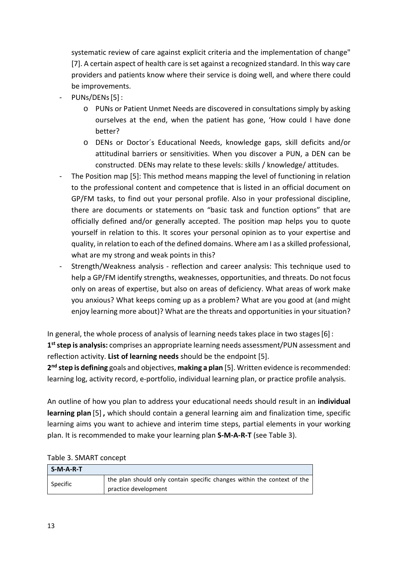systematic review of care against explicit criteria and the implementation of change" [7]. A certain aspect of health care is set against a recognized standard. In this way care providers and patients know where their service is doing well, and where there could be improvements.

- PUNs/DENs[5]:
	- o PUNs or Patient Unmet Needs are discovered in consultations simply by asking ourselves at the end, when the patient has gone, 'How could I have done better?
	- o DENs or Doctor´s Educational Needs, knowledge gaps, skill deficits and/or attitudinal barriers or sensitivities. When you discover a PUN, a DEN can be constructed. DENs may relate to these levels: skills / knowledge/ attitudes.
- The Position map [5]: This method means mapping the level of functioning in relation to the professional content and competence that is listed in an official document on GP/FM tasks, to find out your personal profile. Also in your professional discipline, there are documents or statements on "basic task and function options" that are officially defined and/or generally accepted. The position map helps you to quote yourself in relation to this. It scores your personal opinion as to your expertise and quality, in relation to each of the defined domains. Where am I as a skilled professional, what are my strong and weak points in this?
- Strength/Weakness analysis reflection and career analysis: This technique used to help a GP/FM identify strengths, weaknesses, opportunities, and threats. Do not focus only on areas of expertise, but also on areas of deficiency. What areas of work make you anxious? What keeps coming up as a problem? What are you good at (and might enjoy learning more about)? What are the threats and opportunities in your situation?

In general, the whole process of analysis of learning needs takes place in two stages[6]: 1<sup>st</sup> step is analysis: comprises an appropriate learning needs assessment/PUN assessment and reflection activity. **List of learning needs** should be the endpoint [5].

**2nd step is defining** goals and objectives, **making a plan** [5]. Written evidence is recommended: learning log, activity record, e-portfolio, individual learning plan, or practice profile analysis.

An outline of how you plan to address your educational needs should result in an **individual learning plan** [5] **,** which should contain a general learning aim and finalization time, specific learning aims you want to achieve and interim time steps, partial elements in your working plan. It is recommended to make your learning plan **S-M-A-R-T** (see Table 3).

| $S-M-A-R-T$ |                                                                         |
|-------------|-------------------------------------------------------------------------|
| Specific    | the plan should only contain specific changes within the context of the |
|             | practice development                                                    |

### Table 3. SMART concept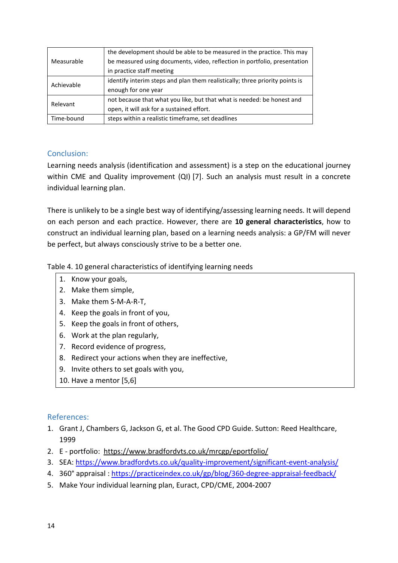|            | the development should be able to be measured in the practice. This may      |
|------------|------------------------------------------------------------------------------|
| Measurable | be measured using documents, video, reflection in portfolio, presentation    |
|            | in practice staff meeting                                                    |
|            | identify interim steps and plan them realistically; three priority points is |
| Achievable | enough for one year                                                          |
| Relevant   | not because that what you like, but that what is needed: be honest and       |
|            | open, it will ask for a sustained effort.                                    |
| Time-bound | steps within a realistic timeframe, set deadlines                            |

### Conclusion:

Learning needs analysis (identification and assessment) is a step on the educational journey within CME and Quality improvement (QI) [7]. Such an analysis must result in a concrete individual learning plan.

There is unlikely to be a single best way of identifying/assessing learning needs. It will depend on each person and each practice. However, there are **10 general characteristics**, how to construct an individual learning plan, based on a learning needs analysis: a GP/FM will never be perfect, but always consciously strive to be a better one.

Table 4. 10 general characteristics of identifying learning needs

- 1. Know your goals,
- 2. Make them simple,
- 3. Make them S-M-A-R-T,
- 4. Keep the goals in front of you,
- 5. Keep the goals in front of others,
- 6. Work at the plan regularly,
- 7. Record evidence of progress,
- 8. Redirect your actions when they are ineffective,
- 9. Invite others to set goals with you,
- 10. Have a mentor [5,6]

- 1. Grant J, Chambers G, Jackson G, et al. The Good CPD Guide. Sutton: Reed Healthcare, 1999
- 2. E portfolio: <https://www.bradfordvts.co.uk/mrcgp/eportfolio/>
- 3. SEA: [https://www.bradfordvts.co.uk/quality](https://www.bradfordvts.co.uk/quality-improvement/significant-event-analysis/)-improvement/significant-event-analysis/
- 4. 360° appraisal [: https://practiceindex.co.uk/gp/blog/360](https://practiceindex.co.uk/gp/blog/360-degree-appraisal-feedback/)-degree-appraisal-feedback/
- 5. Make Your individual learning plan, Euract, CPD/CME, 2004-2007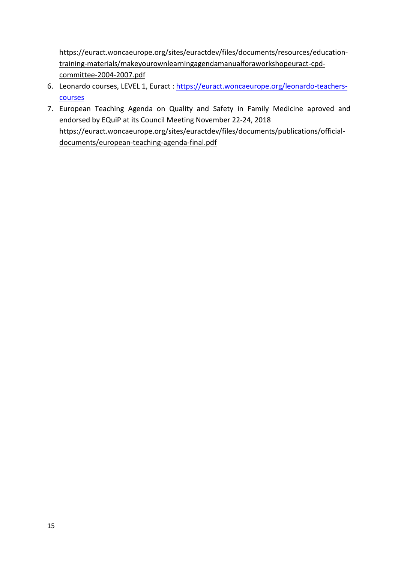[https://euract.woncaeurope.org/sites/euractdev/files/documents/resources/education](https://euract.woncaeurope.org/sites/euractdev/files/documents/resources/education-training-materials/makeyourownlearningagendamanualforaworkshopeuract-cpd-committee-2004-2007.pdf)training-[materials/makeyourownlearningagendamanualforaworkshopeuract](https://euract.woncaeurope.org/sites/euractdev/files/documents/resources/education-training-materials/makeyourownlearningagendamanualforaworkshopeuract-cpd-committee-2004-2007.pdf)-cpd[committee-2004-](https://euract.woncaeurope.org/sites/euractdev/files/documents/resources/education-training-materials/makeyourownlearningagendamanualforaworkshopeuract-cpd-committee-2004-2007.pdf)2007.pdf

- 6. Leonardo courses, LEVEL 1, Euract : [https://euract.woncaeurope.org/leonardo](https://euract.woncaeurope.org/leonardo-teachers-courses)-teachers[courses](https://euract.woncaeurope.org/leonardo-teachers-courses)
- 7. European Teaching Agenda on Quality and Safety in Family Medicine aproved and endorsed by EQuiP at its Council Meeting November 22-24, 2018 [https://euract.woncaeurope.org/sites/euractdev/files/documents/publications/official](https://euract.woncaeurope.org/sites/euractdev/files/documents/publications/official-documents/european-teaching-agenda-final.pdf)documents/european[-teaching-agenda-](https://euract.woncaeurope.org/sites/euractdev/files/documents/publications/official-documents/european-teaching-agenda-final.pdf)final.pdf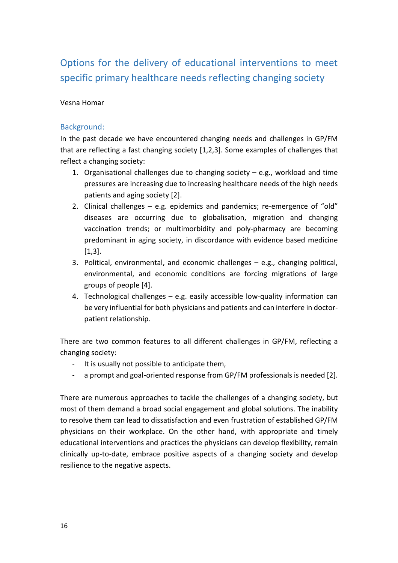# Options for the delivery of educational interventions to meet specific primary healthcare needs reflecting changing society

### Vesna Homar

### Background:

In the past decade we have encountered changing needs and challenges in GP/FM that are reflecting a fast changing society [\[1](#page-17-0),[2](#page-17-1),[3\]](#page-17-2). Some examples of challenges that reflect a changing society:

- 1. Organisational challenges due to changing society  $-$  e.g., workload and time pressures are increasing due to increasing healthcare needs of the high needs patients and aging society [2].
- 2. Clinical challenges e.g. epidemics and pandemics; re-emergence of "old" diseases are occurring due to globalisation, migration and changing vaccination trends; or multimorbidity and poly-pharmacy are becoming predominant in aging society, in discordance with evidence based medicine [1,3].
- 3. Political, environmental, and economic challenges e.g., changing political, environmental, and economic conditions are forcing migrations of large groups of people [4].
- 4. Technological challenges e.g. easily accessible low-quality information can be very influential for both physicians and patients and can interfere in doctorpatient relationship.

There are two common features to all different challenges in GP/FM, reflecting a changing society:

- It is usually not possible to anticipate them,
- a prompt and goal-oriented response from GP/FM professionals is needed [2].

There are numerous approaches to tackle the challenges of a changing society, but most of them demand a broad social engagement and global solutions. The inability to resolve them can lead to dissatisfaction and even frustration of established GP/FM physicians on their workplace. On the other hand, with appropriate and timely educational interventions and practices the physicians can develop flexibility, remain clinically up-to-date, embrace positive aspects of a changing society and develop resilience to the negative aspects.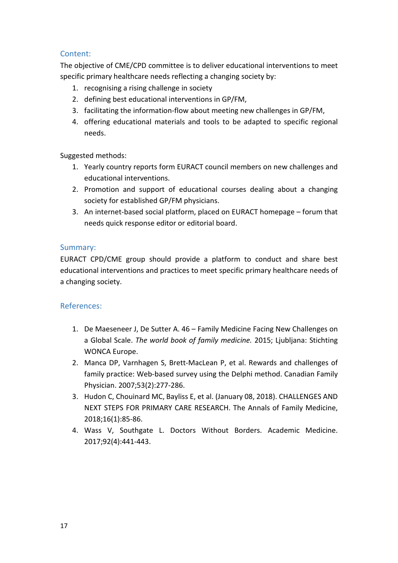### Content:

The objective of CME/CPD committee is to deliver educational interventions to meet specific primary healthcare needs reflecting a changing society by:

- 1. recognising a rising challenge in society
- 2. defining best educational interventions in GP/FM,
- 3. facilitating the information-flow about meeting new challenges in GP/FM,
- 4. offering educational materials and tools to be adapted to specific regional needs.

Suggested methods:

- 1. Yearly country reports form EURACT council members on new challenges and educational interventions.
- 2. Promotion and support of educational courses dealing about a changing society for established GP/FM physicians.
- 3. An internet-based social platform, placed on EURACT homepage forum that needs quick response editor or editorial board.

### Summary:

EURACT CPD/CME group should provide a platform to conduct and share best educational interventions and practices to meet specific primary healthcare needs of a changing society.

- <span id="page-17-0"></span>1. De Maeseneer J, De Sutter A. 46 – Family Medicine Facing New Challenges on a Global Scale. *The world book of family medicine.* 2015; Ljubljana: Stichting WONCA Europe.
- <span id="page-17-1"></span>2. Manca DP, Varnhagen S, Brett-MacLean P, et al. Rewards and challenges of family practice: Web-based survey using the Delphi method. Canadian Family Physician. 2007;53(2):277-286.
- <span id="page-17-2"></span>3. Hudon C, Chouinard MC, Bayliss E, et al. (January 08, 2018). CHALLENGES AND NEXT STEPS FOR PRIMARY CARE RESEARCH. The Annals of Family Medicine, 2018;16(1):85-86.
- 4. Wass V, Southgate L. Doctors Without Borders. Academic Medicine. 2017;92(4):441-443.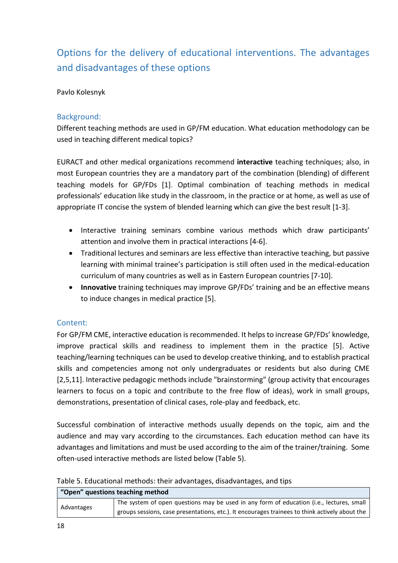# Options for the delivery of educational interventions. The advantages and disadvantages of these options

### Pavlo Kolesnyk

### Background:

Different teaching methods are used in GP/FM education. What education methodology can be used in teaching different medical topics?

EURACT and other medical organizations recommend **interactive** teaching techniques; also, in most European countries they are a mandatory part of the combination (blending) of different teaching models for GP/FDs [1]. Optimal combination of teaching methods in medical professionals' education like study in the classroom, in the practice or at home, as well as use of appropriate IT concise the system of blended learning which can give the best result [1-3].

- Interactive training seminars combine various methods which draw participants' attention and involve them in practical interactions [4-6].
- Traditional lectures and seminars are less effective than interactive teaching, but passive learning with minimal trainee's participation is still often used in the medical-education curriculum of many countries as well as in Eastern European countries [7-10].
- **Innovative** training techniques may improve GP/FDs' training and be an effective means to induce changes in medical practice [5].

### Content:

For GP/FM CME, interactive education is recommended. It helps to increase GP/FDs' knowledge, improve practical skills and readiness to implement them in the practice [5]. Active teaching/learning techniques can be used to develop creative thinking, and to establish practical skills and competencies among not only undergraduates or residents but also during CME [2,5,11]. Interactive pedagogic methods include "brainstorming" (group activity that encourages learners to focus on a topic and contribute to the free flow of ideas), work in small groups, demonstrations, presentation of clinical cases, role-play and feedback, etc.

Successful combination of interactive methods usually depends on the topic, aim and the audience and may vary according to the circumstances. Each education method can have its advantages and limitations and must be used according to the aim of the trainer/training. Some often-used interactive methods are listed below (Table 5).

Table 5. Educational methods: their advantages, disadvantages, and tips

| "Open" questions teaching method |                                                                                                |
|----------------------------------|------------------------------------------------------------------------------------------------|
| Advantages                       | The system of open questions may be used in any form of education (i.e., lectures, small       |
|                                  | groups sessions, case presentations, etc.). It encourages trainees to think actively about the |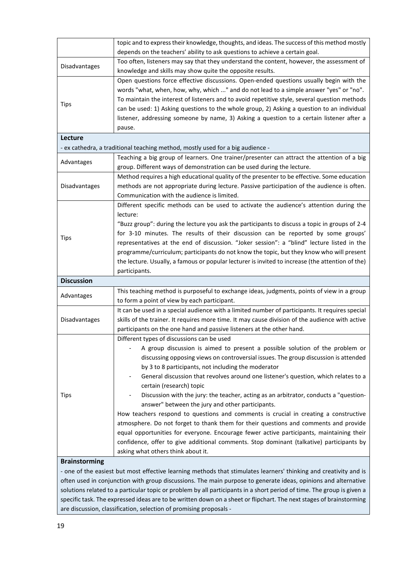|                      | topic and to express their knowledge, thoughts, and ideas. The success of this method mostly     |
|----------------------|--------------------------------------------------------------------------------------------------|
|                      | depends on the teachers' ability to ask questions to achieve a certain goal.                     |
|                      | Too often, listeners may say that they understand the content, however, the assessment of        |
| Disadvantages        | knowledge and skills may show quite the opposite results.                                        |
|                      | Open questions force effective discussions. Open-ended questions usually begin with the          |
|                      | words "what, when, how, why, which " and do not lead to a simple answer "yes" or "no".           |
|                      | To maintain the interest of listeners and to avoid repetitive style, several question methods    |
| Tips                 | can be used: 1) Asking questions to the whole group, 2) Asking a question to an individual       |
|                      | listener, addressing someone by name, 3) Asking a question to a certain listener after a         |
|                      | pause.                                                                                           |
| Lecture              |                                                                                                  |
|                      | - ex cathedra, a traditional teaching method, mostly used for a big audience -                   |
|                      | Teaching a big group of learners. One trainer/presenter can attract the attention of a big       |
| Advantages           | group. Different ways of demonstration can be used during the lecture.                           |
|                      | Method requires a high educational quality of the presenter to be effective. Some education      |
| Disadvantages        | methods are not appropriate during lecture. Passive participation of the audience is often.      |
|                      | Communication with the audience is limited.                                                      |
|                      | Different specific methods can be used to activate the audience's attention during the           |
|                      | lecture:                                                                                         |
|                      | "Buzz group": during the lecture you ask the participants to discuss a topic in groups of 2-4    |
|                      | for 3-10 minutes. The results of their discussion can be reported by some groups'                |
| Tips                 | representatives at the end of discussion. "Joker session": a "blind" lecture listed in the       |
|                      | programme/curriculum; participants do not know the topic, but they know who will present         |
|                      | the lecture. Usually, a famous or popular lecturer is invited to increase (the attention of the) |
|                      | participants.                                                                                    |
| <b>Discussion</b>    |                                                                                                  |
|                      | This teaching method is purposeful to exchange ideas, judgments, points of view in a group       |
| Advantages           | to form a point of view by each participant.                                                     |
|                      | It can be used in a special audience with a limited number of participants. It requires special  |
| Disadvantages        | skills of the trainer. It requires more time. It may cause division of the audience with active  |
|                      | participants on the one hand and passive listeners at the other hand.                            |
|                      | Different types of discussions can be used                                                       |
|                      | A group discussion is aimed to present a possible solution of the problem or                     |
|                      | discussing opposing views on controversial issues. The group discussion is attended              |
|                      | by 3 to 8 participants, not including the moderator                                              |
|                      | General discussion that revolves around one listener's question, which relates to a              |
| Tips                 | certain (research) topic                                                                         |
|                      | Discussion with the jury: the teacher, acting as an arbitrator, conducts a "question-            |
|                      | answer" between the jury and other participants.                                                 |
|                      | How teachers respond to questions and comments is crucial in creating a constructive             |
|                      | atmosphere. Do not forget to thank them for their questions and comments and provide             |
|                      | equal opportunities for everyone. Encourage fewer active participants, maintaining their         |
|                      | confidence, offer to give additional comments. Stop dominant (talkative) participants by         |
|                      | asking what others think about it.                                                               |
| <b>Brainstorming</b> |                                                                                                  |
|                      |                                                                                                  |

- one of the easiest but most effective learning methods that stimulates learners' thinking and creativity and is often used in conjunction with group discussions. The main purpose to generate ideas, opinions and alternative solutions related to a particular topic or problem by all participants in a short period of time. The group is given a specific task. The expressed ideas are to be written down on a sheet or flipchart. The next stages of brainstorming are discussion, classification, selection of promising proposals -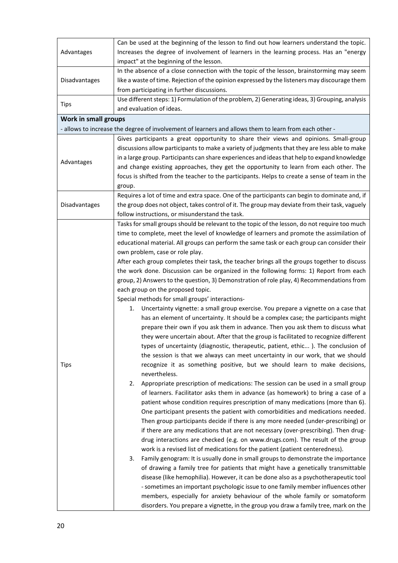|                      | Can be used at the beginning of the lesson to find out how learners understand the topic.             |
|----------------------|-------------------------------------------------------------------------------------------------------|
| Advantages           | Increases the degree of involvement of learners in the learning process. Has an "energy               |
|                      | impact" at the beginning of the lesson.                                                               |
|                      | In the absence of a close connection with the topic of the lesson, brainstorming may seem             |
| Disadvantages        | like a waste of time. Rejection of the opinion expressed by the listeners may discourage them         |
|                      | from participating in further discussions.                                                            |
|                      | Use different steps: 1) Formulation of the problem, 2) Generating ideas, 3) Grouping, analysis        |
| <b>Tips</b>          | and evaluation of ideas.                                                                              |
| Work in small groups |                                                                                                       |
|                      |                                                                                                       |
|                      | - allows to increase the degree of involvement of learners and allows them to learn from each other - |
|                      | Gives participants a great opportunity to share their views and opinions. Small-group                 |
|                      | discussions allow participants to make a variety of judgments that they are less able to make         |
| Advantages           | in a large group. Participants can share experiences and ideas that help to expand knowledge          |
|                      | and change existing approaches, they get the opportunity to learn from each other. The                |
|                      | focus is shifted from the teacher to the participants. Helps to create a sense of team in the         |
|                      | group.                                                                                                |
|                      | Requires a lot of time and extra space. One of the participants can begin to dominate and, if         |
| Disadvantages        | the group does not object, takes control of it. The group may deviate from their task, vaguely        |
|                      | follow instructions, or misunderstand the task.                                                       |
|                      | Tasks for small groups should be relevant to the topic of the lesson, do not require too much         |
|                      | time to complete, meet the level of knowledge of learners and promote the assimilation of             |
|                      | educational material. All groups can perform the same task or each group can consider their           |
|                      | own problem, case or role play.                                                                       |
|                      | After each group completes their task, the teacher brings all the groups together to discuss          |
|                      | the work done. Discussion can be organized in the following forms: 1) Report from each                |
|                      | group, 2) Answers to the question, 3) Demonstration of role play, 4) Recommendations from             |
|                      | each group on the proposed topic.                                                                     |
|                      | Special methods for small groups' interactions-                                                       |
|                      | Uncertainty vignette: a small group exercise. You prepare a vignette on a case that<br>1.             |
|                      | has an element of uncertainty. It should be a complex case; the participants might                    |
|                      | prepare their own if you ask them in advance. Then you ask them to discuss what                       |
|                      | they were uncertain about. After that the group is facilitated to recognize different                 |
|                      | types of uncertainty (diagnostic, therapeutic, patient, ethic). The conclusion of                     |
|                      | the session is that we always can meet uncertainty in our work, that we should                        |
| Tips                 | recognize it as something positive, but we should learn to make decisions,                            |
|                      | nevertheless.                                                                                         |
|                      | Appropriate prescription of medications: The session can be used in a small group<br>2.               |
|                      | of learners. Facilitator asks them in advance (as homework) to bring a case of a                      |
|                      | patient whose condition requires prescription of many medications (more than 6).                      |
|                      | One participant presents the patient with comorbidities and medications needed.                       |
|                      | Then group participants decide if there is any more needed (under-prescribing) or                     |
|                      | if there are any medications that are not necessary (over-prescribing). Then drug-                    |
|                      | drug interactions are checked (e.g. on www.drugs.com). The result of the group                        |
|                      | work is a revised list of medications for the patient (patient centeredness).                         |
|                      | Family genogram: It is usually done in small groups to demonstrate the importance<br>3.               |
|                      | of drawing a family tree for patients that might have a genetically transmittable                     |
|                      | disease (like hemophilia). However, it can be done also as a psychotherapeutic tool                   |
|                      |                                                                                                       |
|                      | - sometimes an important psychologic issue to one family member influences other                      |
|                      | members, especially for anxiety behaviour of the whole family or somatoform                           |
|                      | disorders. You prepare a vignette, in the group you draw a family tree, mark on the                   |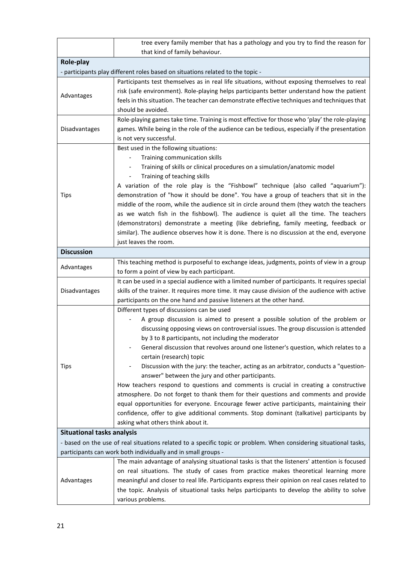|                                                                                                                                                                                    | tree every family member that has a pathology and you try to find the reason for                                                                                                                                                                                                                                                                                                                                                                                                                                                                                                                                                                                                                                                                                                                                                                                                                                                                       |  |
|------------------------------------------------------------------------------------------------------------------------------------------------------------------------------------|--------------------------------------------------------------------------------------------------------------------------------------------------------------------------------------------------------------------------------------------------------------------------------------------------------------------------------------------------------------------------------------------------------------------------------------------------------------------------------------------------------------------------------------------------------------------------------------------------------------------------------------------------------------------------------------------------------------------------------------------------------------------------------------------------------------------------------------------------------------------------------------------------------------------------------------------------------|--|
|                                                                                                                                                                                    | that kind of family behaviour.                                                                                                                                                                                                                                                                                                                                                                                                                                                                                                                                                                                                                                                                                                                                                                                                                                                                                                                         |  |
| Role-play                                                                                                                                                                          |                                                                                                                                                                                                                                                                                                                                                                                                                                                                                                                                                                                                                                                                                                                                                                                                                                                                                                                                                        |  |
|                                                                                                                                                                                    | - participants play different roles based on situations related to the topic -                                                                                                                                                                                                                                                                                                                                                                                                                                                                                                                                                                                                                                                                                                                                                                                                                                                                         |  |
| Advantages                                                                                                                                                                         | Participants test themselves as in real life situations, without exposing themselves to real<br>risk (safe environment). Role-playing helps participants better understand how the patient<br>feels in this situation. The teacher can demonstrate effective techniques and techniques that<br>should be avoided.                                                                                                                                                                                                                                                                                                                                                                                                                                                                                                                                                                                                                                      |  |
| Disadvantages                                                                                                                                                                      | Role-playing games take time. Training is most effective for those who 'play' the role-playing<br>games. While being in the role of the audience can be tedious, especially if the presentation<br>is not very successful.                                                                                                                                                                                                                                                                                                                                                                                                                                                                                                                                                                                                                                                                                                                             |  |
| <b>Tips</b>                                                                                                                                                                        | Best used in the following situations:<br>Training communication skills<br>$\overline{\phantom{a}}$<br>Training of skills or clinical procedures on a simulation/anatomic model<br>$\overline{\phantom{a}}$<br>Training of teaching skills<br>A variation of the role play is the "Fishbowl" technique (also called "aquarium"):<br>demonstration of "how it should be done". You have a group of teachers that sit in the<br>middle of the room, while the audience sit in circle around them (they watch the teachers<br>as we watch fish in the fishbowl). The audience is quiet all the time. The teachers<br>(demonstrators) demonstrate a meeting (like debriefing, family meeting, feedback or<br>similar). The audience observes how it is done. There is no discussion at the end, everyone<br>just leaves the room.                                                                                                                          |  |
| <b>Discussion</b>                                                                                                                                                                  |                                                                                                                                                                                                                                                                                                                                                                                                                                                                                                                                                                                                                                                                                                                                                                                                                                                                                                                                                        |  |
| Advantages                                                                                                                                                                         | This teaching method is purposeful to exchange ideas, judgments, points of view in a group<br>to form a point of view by each participant.                                                                                                                                                                                                                                                                                                                                                                                                                                                                                                                                                                                                                                                                                                                                                                                                             |  |
| Disadvantages                                                                                                                                                                      | It can be used in a special audience with a limited number of participants. It requires special<br>skills of the trainer. It requires more time. It may cause division of the audience with active<br>participants on the one hand and passive listeners at the other hand.                                                                                                                                                                                                                                                                                                                                                                                                                                                                                                                                                                                                                                                                            |  |
| Tips                                                                                                                                                                               | Different types of discussions can be used<br>A group discussion is aimed to present a possible solution of the problem or<br>discussing opposing views on controversial issues. The group discussion is attended<br>by 3 to 8 participants, not including the moderator<br>General discussion that revolves around one listener's question, which relates to a<br>certain (research) topic<br>Discussion with the jury: the teacher, acting as an arbitrator, conducts a "question-<br>answer" between the jury and other participants.<br>How teachers respond to questions and comments is crucial in creating a constructive<br>atmosphere. Do not forget to thank them for their questions and comments and provide<br>equal opportunities for everyone. Encourage fewer active participants, maintaining their<br>confidence, offer to give additional comments. Stop dominant (talkative) participants by<br>asking what others think about it. |  |
| <b>Situational tasks analysis</b>                                                                                                                                                  |                                                                                                                                                                                                                                                                                                                                                                                                                                                                                                                                                                                                                                                                                                                                                                                                                                                                                                                                                        |  |
| - based on the use of real situations related to a specific topic or problem. When considering situational tasks,<br>participants can work both individually and in small groups - |                                                                                                                                                                                                                                                                                                                                                                                                                                                                                                                                                                                                                                                                                                                                                                                                                                                                                                                                                        |  |
|                                                                                                                                                                                    | The main advantage of analysing situational tasks is that the listeners' attention is focused                                                                                                                                                                                                                                                                                                                                                                                                                                                                                                                                                                                                                                                                                                                                                                                                                                                          |  |
| Advantages                                                                                                                                                                         | on real situations. The study of cases from practice makes theoretical learning more<br>meaningful and closer to real life. Participants express their opinion on real cases related to<br>the topic. Analysis of situational tasks helps participants to develop the ability to solve<br>various problems.                                                                                                                                                                                                                                                                                                                                                                                                                                                                                                                                                                                                                                            |  |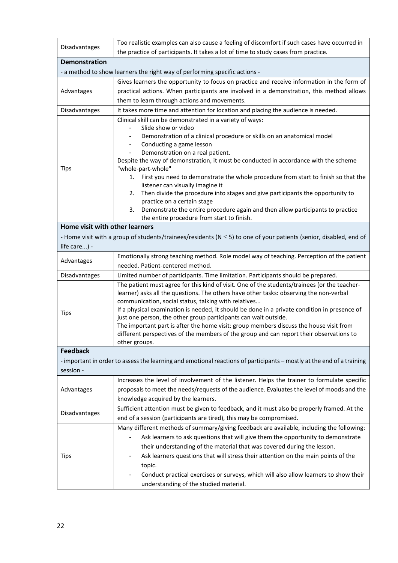| Disadvantages                                                                                                         | Too realistic examples can also cause a feeling of discomfort if such cases have occurred in                                  |  |
|-----------------------------------------------------------------------------------------------------------------------|-------------------------------------------------------------------------------------------------------------------------------|--|
|                                                                                                                       | the practice of participants. It takes a lot of time to study cases from practice.                                            |  |
| <b>Demonstration</b>                                                                                                  |                                                                                                                               |  |
|                                                                                                                       | - a method to show learners the right way of performing specific actions -                                                    |  |
|                                                                                                                       | Gives learners the opportunity to focus on practice and receive information in the form of                                    |  |
| Advantages                                                                                                            | practical actions. When participants are involved in a demonstration, this method allows                                      |  |
|                                                                                                                       | them to learn through actions and movements.                                                                                  |  |
| Disadvantages                                                                                                         | It takes more time and attention for location and placing the audience is needed.                                             |  |
|                                                                                                                       | Clinical skill can be demonstrated in a variety of ways:                                                                      |  |
|                                                                                                                       | Slide show or video                                                                                                           |  |
|                                                                                                                       | Demonstration of a clinical procedure or skills on an anatomical model                                                        |  |
|                                                                                                                       | Conducting a game lesson<br>Demonstration on a real patient.                                                                  |  |
|                                                                                                                       | Despite the way of demonstration, it must be conducted in accordance with the scheme                                          |  |
| Tips                                                                                                                  | "whole-part-whole"                                                                                                            |  |
|                                                                                                                       | 1. First you need to demonstrate the whole procedure from start to finish so that the                                         |  |
|                                                                                                                       | listener can visually imagine it                                                                                              |  |
|                                                                                                                       | Then divide the procedure into stages and give participants the opportunity to<br>2.                                          |  |
|                                                                                                                       | practice on a certain stage                                                                                                   |  |
|                                                                                                                       | Demonstrate the entire procedure again and then allow participants to practice<br>3.                                          |  |
| Home visit with other learners                                                                                        | the entire procedure from start to finish.                                                                                    |  |
|                                                                                                                       |                                                                                                                               |  |
|                                                                                                                       | - Home visit with a group of students/trainees/residents ( $N \le 5$ ) to one of your patients (senior, disabled, end of      |  |
| life care) -                                                                                                          |                                                                                                                               |  |
| Advantages                                                                                                            | Emotionally strong teaching method. Role model way of teaching. Perception of the patient<br>needed. Patient-centered method. |  |
| Disadvantages                                                                                                         | Limited number of participants. Time limitation. Participants should be prepared.                                             |  |
|                                                                                                                       | The patient must agree for this kind of visit. One of the students/trainees (or the teacher-                                  |  |
|                                                                                                                       | learner) asks all the questions. The others have other tasks: observing the non-verbal                                        |  |
|                                                                                                                       | communication, social status, talking with relatives                                                                          |  |
|                                                                                                                       | If a physical examination is needed, it should be done in a private condition in presence of                                  |  |
| Tips                                                                                                                  | just one person, the other group participants can wait outside.                                                               |  |
|                                                                                                                       | The important part is after the home visit: group members discuss the house visit from                                        |  |
|                                                                                                                       | different perspectives of the members of the group and can report their observations to                                       |  |
|                                                                                                                       | other groups.                                                                                                                 |  |
| <b>Feedback</b>                                                                                                       |                                                                                                                               |  |
| - important in order to assess the learning and emotional reactions of participants - mostly at the end of a training |                                                                                                                               |  |
| session -                                                                                                             | Increases the level of involvement of the listener. Helps the trainer to formulate specific                                   |  |
|                                                                                                                       | proposals to meet the needs/requests of the audience. Evaluates the level of moods and the                                    |  |
| Advantages                                                                                                            | knowledge acquired by the learners.                                                                                           |  |
|                                                                                                                       | Sufficient attention must be given to feedback, and it must also be properly framed. At the                                   |  |
| Disadvantages                                                                                                         | end of a session (participants are tired), this may be compromised.                                                           |  |
|                                                                                                                       | Many different methods of summary/giving feedback are available, including the following:                                     |  |
|                                                                                                                       | Ask learners to ask questions that will give them the opportunity to demonstrate                                              |  |
|                                                                                                                       |                                                                                                                               |  |
|                                                                                                                       | their understanding of the material that was covered during the lesson.                                                       |  |
| Tips                                                                                                                  | Ask learners questions that will stress their attention on the main points of the                                             |  |
|                                                                                                                       | topic.                                                                                                                        |  |
|                                                                                                                       | Conduct practical exercises or surveys, which will also allow learners to show their                                          |  |
|                                                                                                                       | understanding of the studied material.                                                                                        |  |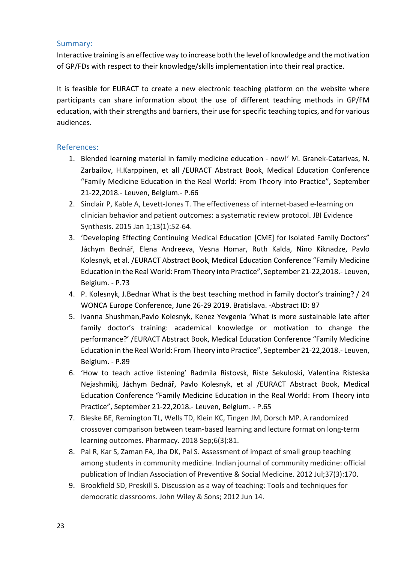### Summary:

Interactive training is an effective way to increase both the level of knowledge and the motivation of GP/FDs with respect to their knowledge/skills implementation into their real practice.

It is feasible for EURACT to create a new electronic teaching platform on the website where participants can share information about the use of different teaching methods in GP/FM education, with their strengths and barriers, their use for specific teaching topics, and for various audiences.

- 1. Blended learning material in family medicine education now!' M. Granek-Catarivas, N. Zarbailov, H.Karppinen, et all /EURACT Abstract Book, Medical Education Conference "Family Medicine Education in the Real World: From Theory into Practice", September 21-22,2018.- Leuven, Belgium.- P.66
- 2. Sinclair P, Kable A, Levett-Jones T. The effectiveness of internet-based e-learning on clinician behavior and patient outcomes: a systematic review protocol. JBI Evidence Synthesis. 2015 Jan 1;13(1):52-64.
- 3. 'Developing Effecting Continuing Medical Education [CME] for Isolated Family Doctors" Jáchym Bednář, Elena Andreeva, Vesna Homar, Ruth Kalda, Nino Kiknadze, Pavlo Kolesnyk, et al. /EURACT Abstract Book, Medical Education Conference "Family Medicine Education in the Real World: From Theory into Practice", September 21-22,2018.- Leuven, Belgium. - P.73
- 4. P. Kolesnyk, J.Bednar What is the best teaching method in family doctor's training? / 24 WONCA Europe Conference, June 26-29 2019. Bratislava. -Abstract ID: 87
- 5. Ivanna Shushman,Pavlo Kolesnyk, Kenez Yevgenia 'What is more sustainable late after family doctor's training: academical knowledge or motivation to change the performance?' /EURACT Abstract Book, Medical Education Conference "Family Medicine Education in the Real World: From Theory into Practice", September 21-22,2018.- Leuven, Belgium. - P.89
- 6. 'How to teach active listening' Radmila Ristovsk, Riste Sekuloski, Valentina Risteska Nejashmikj, Jáchym Bednář, Pavlo Kolesnyk, et al /EURACT Abstract Book, Medical Education Conference "Family Medicine Education in the Real World: From Theory into Practice", September 21-22,2018.- Leuven, Belgium. - P.65
- 7. Bleske BE, Remington TL, Wells TD, Klein KC, Tingen JM, Dorsch MP. A randomized crossover comparison between team-based learning and lecture format on long-term learning outcomes. Pharmacy. 2018 Sep;6(3):81.
- 8. Pal R, Kar S, Zaman FA, Jha DK, Pal S. Assessment of impact of small group teaching among students in community medicine. Indian journal of community medicine: official publication of Indian Association of Preventive & Social Medicine. 2012 Jul;37(3):170.
- 9. Brookfield SD, Preskill S. Discussion as a way of teaching: Tools and techniques for democratic classrooms. John Wiley & Sons; 2012 Jun 14.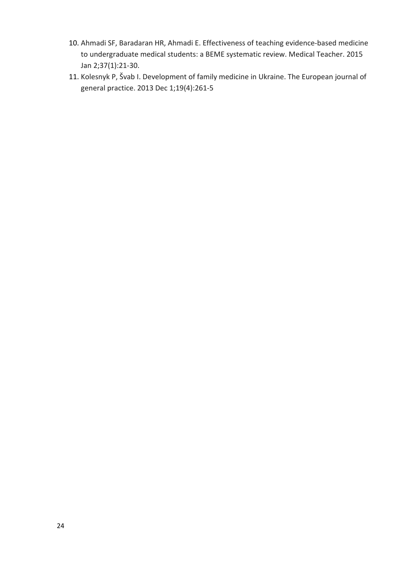- 10. Ahmadi SF, Baradaran HR, Ahmadi E. Effectiveness of teaching evidence-based medicine to undergraduate medical students: a BEME systematic review. Medical Teacher. 2015 Jan 2;37(1):21-30.
- 11. Kolesnyk P, Švab I. Development of family medicine in Ukraine. The European journal of general practice. 2013 Dec 1;19(4):261-5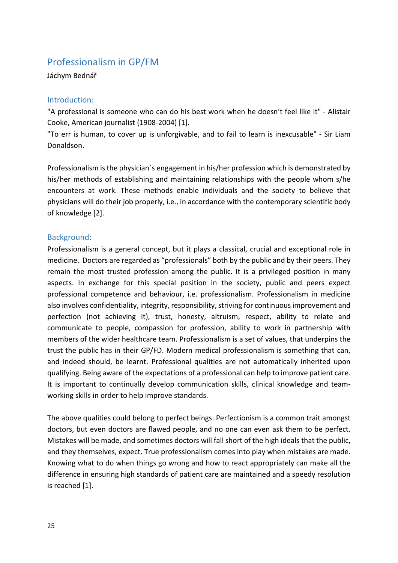# Professionalism in GP/FM

Jáchym Bednář

### Introduction:

"A professional is someone who can do his best work when he doesn't feel like it" - Alistair Cooke, American journalist (1908-2004) [1].

"To err is human, to cover up is unforgivable, and to fail to learn is inexcusable" - Sir Liam Donaldson.

Professionalism is the physician's engagement in his/her profession which is demonstrated by his/her methods of establishing and maintaining relationships with the people whom s/he encounters at work. These methods enable individuals and the society to believe that physicians will do their job properly, i.e., in accordance with the contemporary scientific body of knowledge [2].

### Background:

Professionalism is a general concept, but it plays a classical, crucial and exceptional role in medicine. Doctors are regarded as "professionals" both by the public and by their peers. They remain the most trusted profession among the public. It is a privileged position in many aspects. In exchange for this special position in the society, public and peers expect professional competence and behaviour, i.e. professionalism. Professionalism in medicine also involves confidentiality, integrity, responsibility, striving for continuous improvement and perfection (not achieving it), trust, honesty, altruism, respect, ability to relate and communicate to people, compassion for profession, ability to work in partnership with members of the wider healthcare team. Professionalism is a set of values, that underpins the trust the public has in their GP/FD. Modern medical professionalism is something that can, and indeed should, be learnt. Professional qualities are not automatically inherited upon qualifying. Being aware of the expectations of a professional can help to improve patient care. It is important to continually develop communication skills, clinical knowledge and teamworking skills in order to help improve standards.

The above qualities could belong to perfect beings. Perfectionism is a common trait amongst doctors, but even doctors are flawed people, and no one can even ask them to be perfect. Mistakes will be made, and sometimes doctors will fall short of the high ideals that the public, and they themselves, expect. True professionalism comes into play when mistakes are made. Knowing what to do when things go wrong and how to react appropriately can make all the difference in ensuring high standards of patient care are maintained and a speedy resolution is reached [1].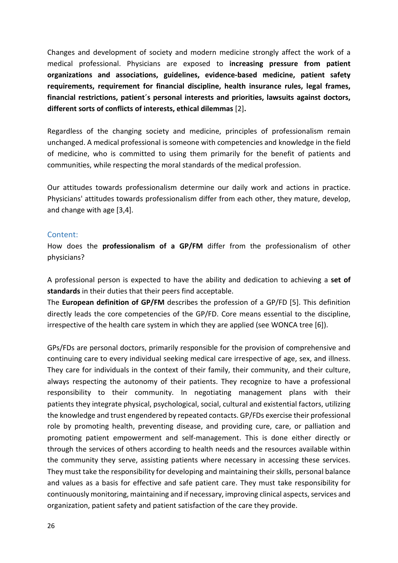Changes and development of society and modern medicine strongly affect the work of a medical professional. Physicians are exposed to **increasing pressure from patient organizations and associations, guidelines, evidence-based medicine, patient safety requirements, requirement for financial discipline, health insurance rules, legal frames, financial restrictions, patient´s personal interests and priorities, lawsuits against doctors, different sorts of conflicts of interests, ethical dilemmas** [2]**.**

Regardless of the changing society and medicine, principles of professionalism remain unchanged. A medical professional is someone with competencies and knowledge in the field of medicine, who is committed to using them primarily for the benefit of patients and communities, while respecting the moral standards of the medical profession.

Our attitudes towards professionalism determine our daily work and actions in practice. Physicians' attitudes towards professionalism differ from each other, they mature, develop, and change with age [3,4].

### Content:

How does the **professionalism of a GP/FM** differ from the professionalism of other physicians?

A professional person is expected to have the ability and dedication to achieving a **set of standards** in their duties that their peers find acceptable.

The **European definition of GP/FM** describes the profession of a GP/FD [5]. This definition directly leads the core competencies of the GP/FD. Core means essential to the discipline, irrespective of the health care system in which they are applied (see WONCA tree [6]).

GPs/FDs are personal doctors, primarily responsible for the provision of comprehensive and continuing care to every individual seeking medical care irrespective of age, sex, and illness. They care for individuals in the context of their family, their community, and their culture, always respecting the autonomy of their patients. They recognize to have a professional responsibility to their community. In negotiating management plans with their patients they integrate physical, psychological, social, cultural and existential factors, utilizing the knowledge and trust engendered by repeated contacts. GP/FDs exercise their professional role by promoting health, preventing disease, and providing cure, care, or palliation and promoting patient empowerment and self-management. This is done either directly or through the services of others according to health needs and the resources available within the community they serve, assisting patients where necessary in accessing these services. They must take the responsibility for developing and maintaining their skills, personal balance and values as a basis for effective and safe patient care. They must take responsibility for continuously monitoring, maintaining and if necessary, improving clinical aspects, services and organization, patient safety and patient satisfaction of the care they provide.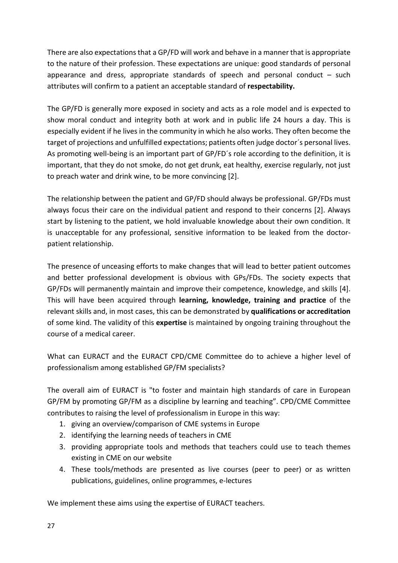There are also expectationsthat a GP/FD will work and behave in a manner that is appropriate to the nature of their profession. These expectations are unique: good standards of personal appearance and dress, appropriate standards of speech and personal conduct  $-$  such attributes will confirm to a patient an acceptable standard of **respectability.**

The GP/FD is generally more exposed in society and acts as a role model and is expected to show moral conduct and integrity both at work and in public life 24 hours a day. This is especially evident if he lives in the community in which he also works. They often become the target of projections and unfulfilled expectations; patients often judge doctor´s personal lives. As promoting well-being is an important part of GP/FD´s role according to the definition, it is important, that they do not smoke, do not get drunk, eat healthy, exercise regularly, not just to preach water and drink wine, to be more convincing [2].

The relationship between the patient and GP/FD should always be professional. GP/FDs must always focus their care on the individual patient and respond to their concerns [2]. Always start by listening to the patient, we hold invaluable knowledge about their own condition. It is unacceptable for any professional, sensitive information to be leaked from the doctorpatient relationship.

The presence of unceasing efforts to make changes that will lead to better patient outcomes and better professional development is obvious with GPs/FDs. The society expects that GP/FDs will permanently maintain and improve their competence, knowledge, and skills [4]. This will have been acquired through **learning, knowledge, training and practice** of the relevant skills and, in most cases, this can be demonstrated by **qualifications or accreditation** of some kind. The validity of this **expertise** is maintained by ongoing training throughout the course of a medical career.

What can EURACT and the EURACT CPD/CME Committee do to achieve a higher level of professionalism among established GP/FM specialists?

The overall aim of EURACT is "to foster and maintain high standards of care in European GP/FM by promoting GP/FM as a discipline by learning and teaching". CPD/CME Committee contributes to raising the level of professionalism in Europe in this way:

- 1. giving an overview/comparison of CME systems in Europe
- 2. identifying the learning needs of teachers in CME
- 3. providing appropriate tools and methods that teachers could use to teach themes existing in CME on our website
- 4. These tools/methods are presented as live courses (peer to peer) or as written publications, guidelines, online programmes, e-lectures

We implement these aims using the expertise of EURACT teachers.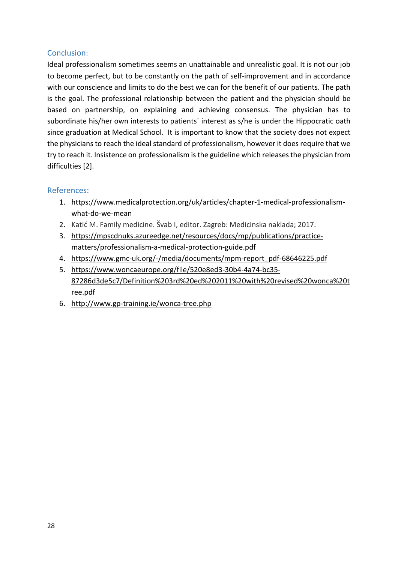### Conclusion:

Ideal professionalism sometimes seems an unattainable and unrealistic goal. It is not our job to become perfect, but to be constantly on the path of self-improvement and in accordance with our conscience and limits to do the best we can for the benefit of our patients. The path is the goal. The professional relationship between the patient and the physician should be based on partnership, on explaining and achieving consensus. The physician has to subordinate his/her own interests to patients' interest as s/he is under the Hippocratic oath since graduation at Medical School. It is important to know that the society does not expect the physicians to reach the ideal standard of professionalism, however it does require that we try to reach it. Insistence on professionalism is the guideline which releases the physician from difficulties [2].

- 1. [https://www.medicalprotection.org/uk/articles/chapter](https://www.medicalprotection.org/uk/articles/chapter-1-medical-professionalism-what-do-we-mean)-1-medical-professionalism[what-do-we-mean](https://www.medicalprotection.org/uk/articles/chapter-1-medical-professionalism-what-do-we-mean)
- 2. Katić M. Family medicine. Švab I, editor. Zagreb: Medicinska naklada; 2017.
- 3. [https://mpscdnuks.azureedge.net/resources/docs/mp/publications/practice](https://mpscdnuks.azureedge.net/resources/docs/mp/publications/practice-matters/professionalism-a-medical-protection-guide.pdf)[matters/professionalism](https://mpscdnuks.azureedge.net/resources/docs/mp/publications/practice-matters/professionalism-a-medical-protection-guide.pdf)-a-medical-protection-guide.pdf
- 4. https://www.gmc-uk.org/-[/media/documents/mpm](https://www.gmc-uk.org/-/media/documents/mpm-report_pdf-68646225.pdf)-report\_pdf-68646225.pdf
- 5. [https://www.woncaeurope.org/file/520e8ed3](https://www.woncaeurope.org/file/520e8ed3-30b4-4a74-bc35-87286d3de5c7/Definition%203rd%20ed%202011%20with%20revised%20wonca%20tree.pdf)-30b4-4a74-bc35- 87286d3de5c7/Definition[%203rd%20ed%202011%20with%20revised%20wonca%20t](https://www.woncaeurope.org/file/520e8ed3-30b4-4a74-bc35-87286d3de5c7/Definition%203rd%20ed%202011%20with%20revised%20wonca%20tree.pdf) [ree.pdf](https://www.woncaeurope.org/file/520e8ed3-30b4-4a74-bc35-87286d3de5c7/Definition%203rd%20ed%202011%20with%20revised%20wonca%20tree.pdf)
- 6. http://www.gp-[training.ie/wonca](http://www.gp-training.ie/wonca-tree.php)-tree.php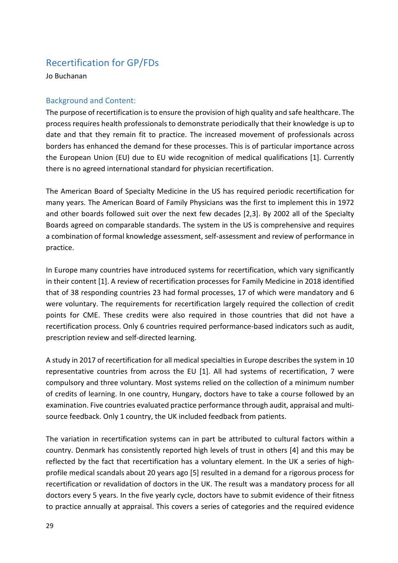## Recertification for GP/FDs

Jo Buchanan

### Background and Content:

The purpose of recertification is to ensure the provision of high quality and safe healthcare. The process requires health professionals to demonstrate periodically that their knowledge is up to date and that they remain fit to practice. The increased movement of professionals across borders has enhanced the demand for these processes. This is of particular importance across the European Union (EU) due to EU wide recognition of medical qualifications [1]. Currently there is no agreed international standard for physician recertification.

The American Board of Specialty Medicine in the US has required periodic recertification for many years. The American Board of Family Physicians was the first to implement this in 1972 and other boards followed suit over the next few decades [2,3]. By 2002 all of the Specialty Boards agreed on comparable standards. The system in the US is comprehensive and requires a combination of formal knowledge assessment, self-assessment and review of performance in practice.

In Europe many countries have introduced systems for recertification, which vary significantly in their content [1]. A review of recertification processes for Family Medicine in 2018 identified that of 38 responding countries 23 had formal processes, 17 of which were mandatory and 6 were voluntary. The requirements for recertification largely required the collection of credit points for CME. These credits were also required in those countries that did not have a recertification process. Only 6 countries required performance-based indicators such as audit, prescription review and self-directed learning.

A study in 2017 of recertification for all medical specialties in Europe describes the system in 10 representative countries from across the EU [1]. All had systems of recertification, 7 were compulsory and three voluntary. Most systems relied on the collection of a minimum number of credits of learning. In one country, Hungary, doctors have to take a course followed by an examination. Five countries evaluated practice performance through audit, appraisal and multisource feedback. Only 1 country, the UK included feedback from patients.

The variation in recertification systems can in part be attributed to cultural factors within a country. Denmark has consistently reported high levels of trust in others [4] and this may be reflected by the fact that recertification has a voluntary element. In the UK a series of highprofile medical scandals about 20 years ago [5] resulted in a demand for a rigorous process for recertification or revalidation of doctors in the UK. The result was a mandatory process for all doctors every 5 years. In the five yearly cycle, doctors have to submit evidence of their fitness to practice annually at appraisal. This covers a series of categories and the required evidence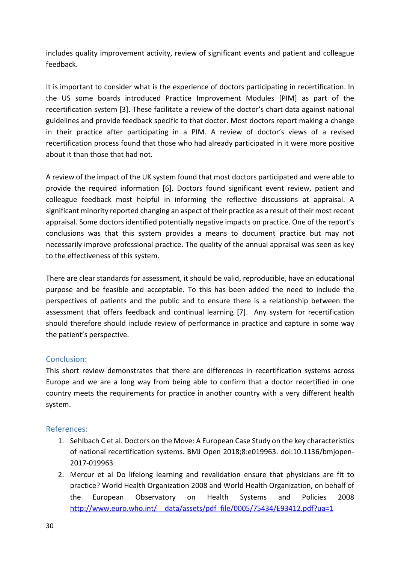includes quality improvement activity, review of significant events and patient and colleague feedback.

It is important to consider what is the experience of doctors participating in recertification. In the US some boards introduced Practice Improvement Modules [PIM] as part of the recertification system [3]. These facilitate a review of the doctor's chart data against national guidelines and provide feedback specific to that doctor. Most doctors report making a change in their practice after participating in a PIM. A review of doctor's views of a revised recertification process found that those who had already participated in it were more positive about it than those that had not.

A review of the impact of the UK system found that most doctors participated and were able to provide the required information [6]. Doctors found significant event review, patient and colleague feedback most helpful in informing the reflective discussions at appraisal. A significant minority reported changing an aspect of their practice as a result of their most recent appraisal. Some doctors identified potentially negative impacts on practice. One of the report's conclusions was that this system provides a means to document practice but may not necessarily improve professional practice. The quality of the annual appraisal was seen as key to the effectiveness of this system.

There are clear standards for assessment, it should be valid, reproducible, have an educational purpose and be feasible and acceptable. To this has been added the need to include the perspectives of patients and the public and to ensure there is a relationship between the assessment that offers feedback and continual learning [7]. Any system for recertification should therefore should include review of performance in practice and capture in some way the patient's perspective.

### Conclusion:

This short review demonstrates that there are differences in recertification systems across Europe and we are a long way from being able to confirm that a doctor recertified in one country meets the requirements for practice in another country with a very different health system.

- 1. Sehlbach C et al. Doctors on the Move: A European Case Study on the key characteristics of national recertification systems. BMJ Open 2018;8:e019963. doi:10.1136/bmjopen-2017-019963
- 2. Mercur et al Do lifelong learning and revalidation ensure that physicians are fit to practice? World Health Organization 2008 and World Health Organization, on behalf of the European Observatory on Health Systems and Policies 2008 http://www.euro.who.int/ data/assets/pdf file/0005/75434/E93412.pdf?ua=1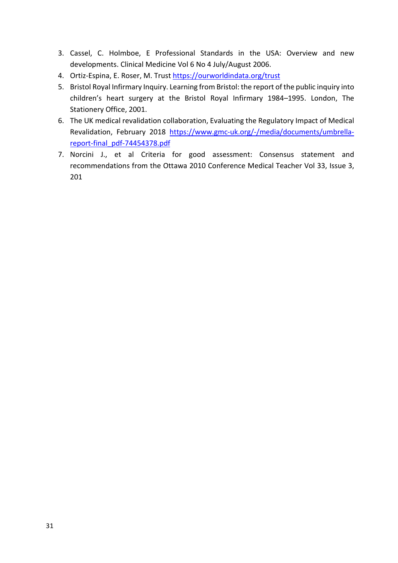- 3. Cassel, C. Holmboe, E Professional Standards in the USA: Overview and new developments. Clinical Medicine Vol 6 No 4 July/August 2006.
- 4. Ortiz-Espina, E. Roser, M. Trust<https://ourworldindata.org/trust>
- 5. Bristol Royal Infirmary Inquiry. Learning from Bristol: the report of the public inquiry into children's heart surgery at the Bristol Royal Infirmary 1984–1995. London, The Stationery Office, 2001.
- 6. The UK medical revalidation collaboration, Evaluating the Regulatory Impact of Medical Revalidation, February 2018 https://www.gmc-uk.org/-[/media/documents/umbrella](https://www.gmc-uk.org/-/media/documents/umbrella-report-final_pdf-74454378.pdf)[report-final\\_pdf-](https://www.gmc-uk.org/-/media/documents/umbrella-report-final_pdf-74454378.pdf)74454378.pdf
- 7. Norcini J., et al Criteria for good assessment: Consensus statement and recommendations from the Ottawa 2010 Conference Medical Teacher Vol 33, Issue 3, 201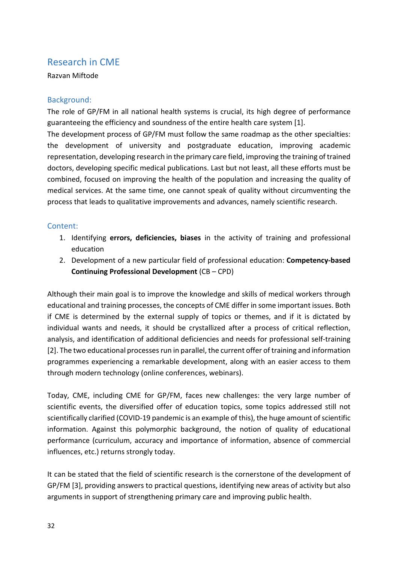### Research in CME

### Razvan Miftode

### Background:

The role of GP/FM in all national health systems is crucial, its high degree of performance guaranteeing the efficiency and soundness of the entire health care system [1].

The development process of GP/FM must follow the same roadmap as the other specialties: the development of university and postgraduate education, improving academic representation, developing research in the primary care field, improving the training of trained doctors, developing specific medical publications. Last but not least, all these efforts must be combined, focused on improving the health of the population and increasing the quality of medical services. At the same time, one cannot speak of quality without circumventing the process that leads to qualitative improvements and advances, namely scientific research.

### Content:

- 1. Identifying **errors, deficiencies, biases** in the activity of training and professional education
- 2. Development of a new particular field of professional education: **Competency-based Continuing Professional Development** (CB – CPD)

Although their main goal is to improve the knowledge and skills of medical workers through educational and training processes, the concepts of CME differ in some important issues. Both if CME is determined by the external supply of topics or themes, and if it is dictated by individual wants and needs, it should be crystallized after a process of critical reflection, analysis, and identification of additional deficiencies and needs for professional self-training [2]. The two educational processes run in parallel, the current offer of training and information programmes experiencing a remarkable development, along with an easier access to them through modern technology (online conferences, webinars).

Today, CME, including CME for GP/FM, faces new challenges: the very large number of scientific events, the diversified offer of education topics, some topics addressed still not scientifically clarified (COVID-19 pandemic is an example of this), the huge amount of scientific information. Against this polymorphic background, the notion of quality of educational performance (curriculum, accuracy and importance of information, absence of commercial influences, etc.) returns strongly today.

It can be stated that the field of scientific research is the cornerstone of the development of GP/FM [3], providing answers to practical questions, identifying new areas of activity but also arguments in support of strengthening primary care and improving public health.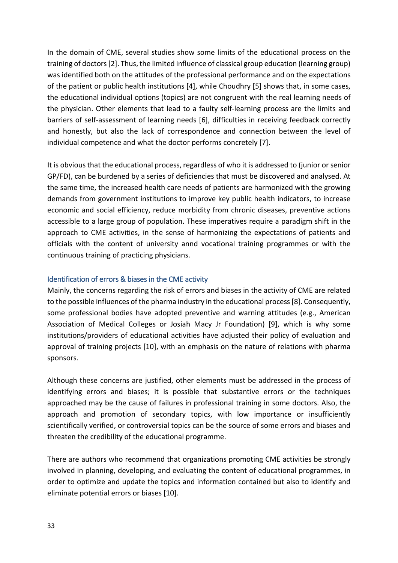In the domain of CME, several studies show some limits of the educational process on the training of doctors [2]. Thus, the limited influence of classical group education (learning group) was identified both on the attitudes of the professional performance and on the expectations of the patient or public health institutions [4], while Choudhry [5] shows that, in some cases, the educational individual options (topics) are not congruent with the real learning needs of the physician. Other elements that lead to a faulty self-learning process are the limits and barriers of self-assessment of learning needs [6], difficulties in receiving feedback correctly and honestly, but also the lack of correspondence and connection between the level of individual competence and what the doctor performs concretely [7].

It is obvious that the educational process, regardless of who it is addressed to (junior or senior GP/FD), can be burdened by a series of deficiencies that must be discovered and analysed. At the same time, the increased health care needs of patients are harmonized with the growing demands from government institutions to improve key public health indicators, to increase economic and social efficiency, reduce morbidity from chronic diseases, preventive actions accessible to a large group of population. These imperatives require a paradigm shift in the approach to CME activities, in the sense of harmonizing the expectations of patients and officials with the content of university annd vocational training programmes or with the continuous training of practicing physicians.

### Identification of errors & biases in the CME activity

Mainly, the concerns regarding the risk of errors and biases in the activity of CME are related to the possible influences of the pharma industry in the educational process[8]. Consequently, some professional bodies have adopted preventive and warning attitudes (e.g., American Association of Medical Colleges or Josiah Macy Jr Foundation) [9], which is why some institutions/providers of educational activities have adjusted their policy of evaluation and approval of training projects [10], with an emphasis on the nature of relations with pharma sponsors.

Although these concerns are justified, other elements must be addressed in the process of identifying errors and biases; it is possible that substantive errors or the techniques approached may be the cause of failures in professional training in some doctors. Also, the approach and promotion of secondary topics, with low importance or insufficiently scientifically verified, or controversial topics can be the source of some errors and biases and threaten the credibility of the educational programme.

There are authors who recommend that organizations promoting CME activities be strongly involved in planning, developing, and evaluating the content of educational programmes, in order to optimize and update the topics and information contained but also to identify and eliminate potential errors or biases [10].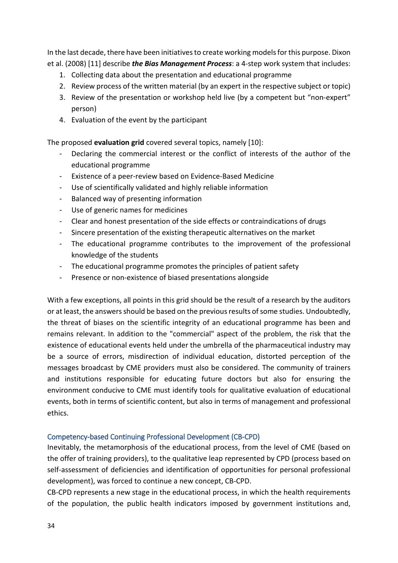In the last decade, there have been initiatives to create working models for this purpose. Dixon et al. (2008) [11] describe *the Bias Management Process*: a 4-step work system that includes:

- 1. Collecting data about the presentation and educational programme
- 2. Review process of the written material (by an expert in the respective subject or topic)
- 3. Review of the presentation or workshop held live (by a competent but "non-expert" person)
- 4. Evaluation of the event by the participant

The proposed **evaluation grid** covered several topics, namely [10]:

- Declaring the commercial interest or the conflict of interests of the author of the educational programme
- Existence of a peer-review based on Evidence-Based Medicine
- Use of scientifically validated and highly reliable information
- Balanced way of presenting information
- Use of generic names for medicines
- Clear and honest presentation of the side effects or contraindications of drugs
- Sincere presentation of the existing therapeutic alternatives on the market
- The educational programme contributes to the improvement of the professional knowledge of the students
- The educational programme promotes the principles of patient safety
- Presence or non-existence of biased presentations alongside

With a few exceptions, all points in this grid should be the result of a research by the auditors or at least, the answers should be based on the previous results of some studies. Undoubtedly, the threat of biases on the scientific integrity of an educational programme has been and remains relevant. In addition to the "commercial" aspect of the problem, the risk that the existence of educational events held under the umbrella of the pharmaceutical industry may be a source of errors, misdirection of individual education, distorted perception of the messages broadcast by CME providers must also be considered. The community of trainers and institutions responsible for educating future doctors but also for ensuring the environment conducive to CME must identify tools for qualitative evaluation of educational events, both in terms of scientific content, but also in terms of management and professional ethics.

### Competency-based Continuing Professional Development (CB-CPD)

Inevitably, the metamorphosis of the educational process, from the level of CME (based on the offer of training providers), to the qualitative leap represented by CPD (process based on self-assessment of deficiencies and identification of opportunities for personal professional development), was forced to continue a new concept, CB-CPD.

CB-CPD represents a new stage in the educational process, in which the health requirements of the population, the public health indicators imposed by government institutions and,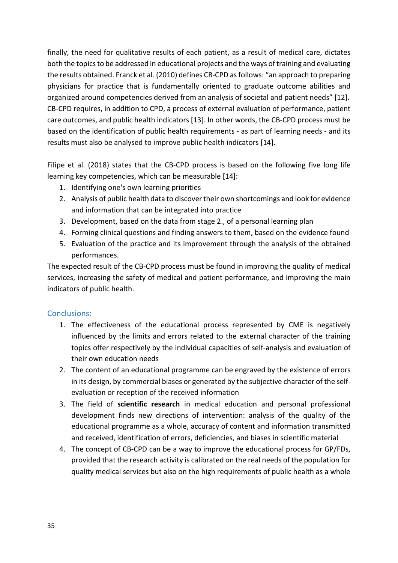finally, the need for qualitative results of each patient, as a result of medical care, dictates both the topics to be addressed in educational projects and the ways of training and evaluating the results obtained. Franck et al. (2010) defines CB-CPD as follows: "an approach to preparing physicians for practice that is fundamentally oriented to graduate outcome abilities and organized around competencies derived from an analysis of societal and patient needs" [12]. CB-CPD requires, in addition to CPD, a process of external evaluation of performance, patient care outcomes, and public health indicators [13]. In other words, the CB-CPD process must be based on the identification of public health requirements - as part of learning needs - and its results must also be analysed to improve public health indicators [14].

Filipe et al. (2018) states that the CB-CPD process is based on the following five long life learning key competencies, which can be measurable [14]:

- 1. Identifying one's own learning priorities
- 2. Analysis of public health data to discover their own shortcomings and look for evidence and information that can be integrated into practice
- 3. Development, based on the data from stage 2., of a personal learning plan
- 4. Forming clinical questions and finding answers to them, based on the evidence found
- 5. Evaluation of the practice and its improvement through the analysis of the obtained performances.

The expected result of the CB-CPD process must be found in improving the quality of medical services, increasing the safety of medical and patient performance, and improving the main indicators of public health.

### Conclusions:

- 1. The effectiveness of the educational process represented by CME is negatively influenced by the limits and errors related to the external character of the training topics offer respectively by the individual capacities of self-analysis and evaluation of their own education needs
- 2. The content of an educational programme can be engraved by the existence of errors in its design, by commercial biases or generated by the subjective character of the selfevaluation or reception of the received information
- 3. The field of **scientific research** in medical education and personal professional development finds new directions of intervention: analysis of the quality of the educational programme as a whole, accuracy of content and information transmitted and received, identification of errors, deficiencies, and biases in scientific material
- 4. The concept of CB-CPD can be a way to improve the educational process for GP/FDs, provided that the research activity is calibrated on the real needs of the population for quality medical services but also on the high requirements of public health as a whole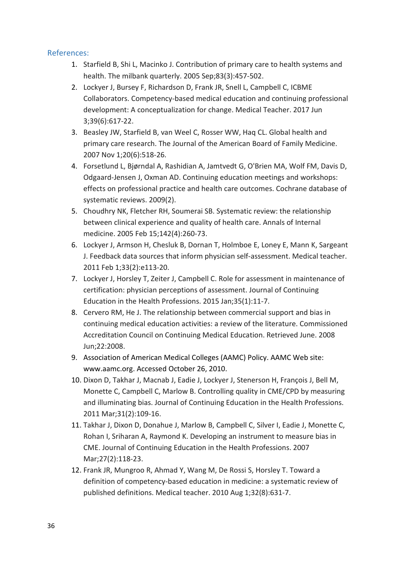- 1. Starfield B, Shi L, Macinko J. Contribution of primary care to health systems and health. The milbank quarterly. 2005 Sep;83(3):457-502.
- 2. Lockyer J, Bursey F, Richardson D, Frank JR, Snell L, Campbell C, ICBME Collaborators. Competency-based medical education and continuing professional development: A conceptualization for change. Medical Teacher. 2017 Jun 3;39(6):617-22.
- 3. Beasley JW, Starfield B, van Weel C, Rosser WW, Haq CL. Global health and primary care research. The Journal of the American Board of Family Medicine. 2007 Nov 1;20(6):518-26.
- 4. Forsetlund L, Bjørndal A, Rashidian A, Jamtvedt G, O'Brien MA, Wolf FM, Davis D, Odgaard-Jensen J, Oxman AD. Continuing education meetings and workshops: effects on professional practice and health care outcomes. Cochrane database of systematic reviews. 2009(2).
- 5. Choudhry NK, Fletcher RH, Soumerai SB. Systematic review: the relationship between clinical experience and quality of health care. Annals of Internal medicine. 2005 Feb 15;142(4):260-73.
- 6. Lockyer J, Armson H, Chesluk B, Dornan T, Holmboe E, Loney E, Mann K, Sargeant J. Feedback data sources that inform physician self-assessment. Medical teacher. 2011 Feb 1;33(2):e113-20.
- 7. Lockyer J, Horsley T, Zeiter J, Campbell C. Role for assessment in maintenance of certification: physician perceptions of assessment. Journal of Continuing Education in the Health Professions. 2015 Jan;35(1):11-7.
- 8. Cervero RM, He J. The relationship between commercial support and bias in continuing medical education activities: a review of the literature. Commissioned Accreditation Council on Continuing Medical Education. Retrieved June. 2008 Jun;22:2008.
- 9. Association of American Medical Colleges (AAMC) Policy. AAMC Web site: www.aamc.org. Accessed October 26, 2010.
- 10. Dixon D, Takhar J, Macnab J, Eadie J, Lockyer J, Stenerson H, François J, Bell M, Monette C, Campbell C, Marlow B. Controlling quality in CME/CPD by measuring and illuminating bias. Journal of Continuing Education in the Health Professions. 2011 Mar;31(2):109-16.
- 11. Takhar J, Dixon D, Donahue J, Marlow B, Campbell C, Silver I, Eadie J, Monette C, Rohan I, Sriharan A, Raymond K. Developing an instrument to measure bias in CME. Journal of Continuing Education in the Health Professions. 2007 Mar;27(2):118-23.
- 12. Frank JR, Mungroo R, Ahmad Y, Wang M, De Rossi S, Horsley T. Toward a definition of competency-based education in medicine: a systematic review of published definitions. Medical teacher. 2010 Aug 1;32(8):631-7.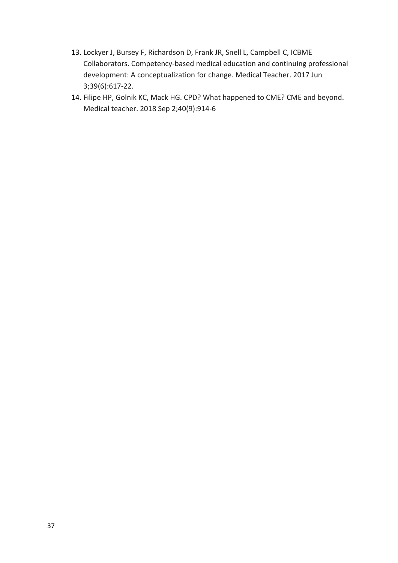- 13. Lockyer J, Bursey F, Richardson D, Frank JR, Snell L, Campbell C, ICBME Collaborators. Competency-based medical education and continuing professional development: A conceptualization for change. Medical Teacher. 2017 Jun 3;39(6):617-22.
- 14. Filipe HP, Golnik KC, Mack HG. CPD? What happened to CME? CME and beyond. Medical teacher. 2018 Sep 2;40(9):914-6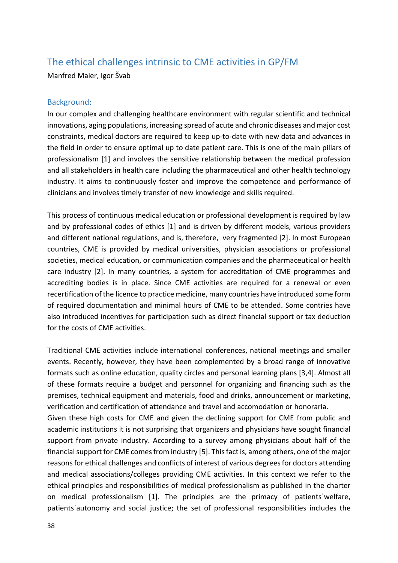# The ethical challenges intrinsic to CME activities in GP/FM

Manfred Maier, Igor Švab

### Background:

In our complex and challenging healthcare environment with regular scientific and technical innovations, aging populations, increasing spread of acute and chronic diseases and major cost constraints, medical doctors are required to keep up-to-date with new data and advances in the field in order to ensure optimal up to date patient care. This is one of the main pillars of professionalism [1] and involves the sensitive relationship between the medical profession and all stakeholders in health care including the pharmaceutical and other health technology industry. It aims to continuously foster and improve the competence and performance of clinicians and involves timely transfer of new knowledge and skills required.

This process of continuous medical education or professional development is required by law and by professional codes of ethics [1] and is driven by different models, various providers and different national regulations, and is, therefore, very fragmented [2]. In most European countries, CME is provided by medical universities, physician associations or professional societies, medical education, or communication companies and the pharmaceutical or health care industry [2]. In many countries, a system for accreditation of CME programmes and accrediting bodies is in place. Since CME activities are required for a renewal or even recertification of the licence to practice medicine, many countries have introduced some form of required documentation and minimal hours of CME to be attended. Some contries have also introduced incentives for participation such as direct financial support or tax deduction for the costs of CME activities.

Traditional CME activities include international conferences, national meetings and smaller events. Recently, however, they have been complemented by a broad range of innovative formats such as online education, quality circles and personal learning plans [3,4]. Almost all of these formats require a budget and personnel for organizing and financing such as the premises, technical equipment and materials, food and drinks, announcement or marketing, verification and certification of attendance and travel and accomodation or honoraria.

Given these high costs for CME and given the declining support for CME from public and academic institutions it is not surprising that organizers and physicians have sought financial support from private industry. According to a survey among physicians about half of the financial support for CME comes from industry [5]. This fact is, among others, one of the major reasons for ethical challenges and conflicts of interest of various degrees for doctors attending and medical associations/colleges providing CME activities. In this context we refer to the ethical principles and responsibilities of medical professionalism as published in the charter on medical professionalism [1]. The principles are the primacy of patients`welfare, patients`autonomy and social justice; the set of professional responsibilities includes the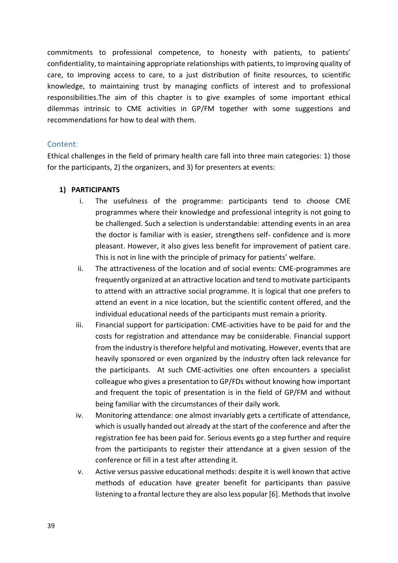commitments to professional competence, to honesty with patients, to patients' confidentiality, to maintaining appropriate relationships with patients, to improving quality of care, to improving access to care, to a just distribution of finite resources, to scientific knowledge, to maintaining trust by managing conflicts of interest and to professional responsibilities.The aim of this chapter is to give examples of some important ethical dilemmas intrinsic to CME activities in GP/FM together with some suggestions and recommendations for how to deal with them.

### Content:

Ethical challenges in the field of primary health care fall into three main categories: 1) those for the participants, 2) the organizers, and 3) for presenters at events:

### **1) PARTICIPANTS**

- i. The usefulness of the programme: participants tend to choose CME programmes where their knowledge and professional integrity is not going to be challenged. Such a selection is understandable: attending events in an area the doctor is familiar with is easier, strengthens self- confidence and is more pleasant. However, it also gives less benefit for improvement of patient care. This is not in line with the principle of primacy for patients' welfare.
- ii. The attractiveness of the location and of social events: CME-programmes are frequently organized at an attractive location and tend to motivate participants to attend with an attractive social programme. It is logical that one prefers to attend an event in a nice location, but the scientific content offered, and the individual educational needs of the participants must remain a priority.
- iii. Financial support for participation: CME-activities have to be paid for and the costs for registration and attendance may be considerable. Financial support from the industry is therefore helpful and motivating. However, events that are heavily sponsored or even organized by the industry often lack relevance for the participants. At such CME-activities one often encounters a specialist colleague who gives a presentation to GP/FDs without knowing how important and frequent the topic of presentation is in the field of GP/FM and without being familiar with the circumstances of their daily work.
- iv. Monitoring attendance: one almost invariably gets a certificate of attendance, which is usually handed out already at the start of the conference and after the registration fee has been paid for. Serious events go a step further and require from the participants to register their attendance at a given session of the conference or fill in a test after attending it.
- v. Active versus passive educational methods: despite it is well known that active methods of education have greater benefit for participants than passive listening to a frontal lecture they are also less popular [6]. Methods that involve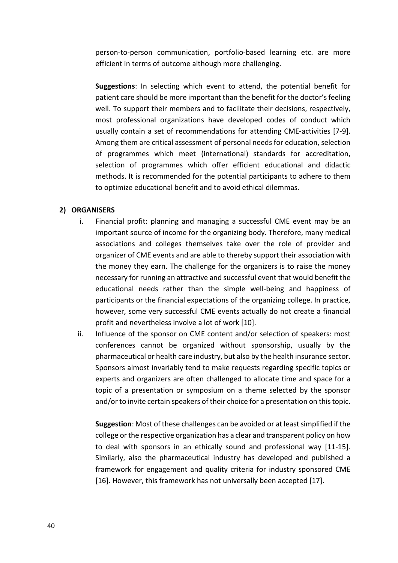person-to-person communication, portfolio-based learning etc. are more efficient in terms of outcome although more challenging.

**Suggestions**: In selecting which event to attend, the potential benefit for patient care should be more important than the benefit for the doctor's feeling well. To support their members and to facilitate their decisions, respectively, most professional organizations have developed codes of conduct which usually contain a set of recommendations for attending CME-activities [7-9]. Among them are critical assessment of personal needs for education, selection of programmes which meet (international) standards for accreditation, selection of programmes which offer efficient educational and didactic methods. It is recommended for the potential participants to adhere to them to optimize educational benefit and to avoid ethical dilemmas.

### **2) ORGANISERS**

- i. Financial profit: planning and managing a successful CME event may be an important source of income for the organizing body. Therefore, many medical associations and colleges themselves take over the role of provider and organizer of CME events and are able to thereby support their association with the money they earn. The challenge for the organizers is to raise the money necessary for running an attractive and successful event that would benefit the educational needs rather than the simple well-being and happiness of participants or the financial expectations of the organizing college. In practice, however, some very successful CME events actually do not create a financial profit and nevertheless involve a lot of work [10].
- ii. Influence of the sponsor on CME content and/or selection of speakers: most conferences cannot be organized without sponsorship, usually by the pharmaceutical or health care industry, but also by the health insurance sector. Sponsors almost invariably tend to make requests regarding specific topics or experts and organizers are often challenged to allocate time and space for a topic of a presentation or symposium on a theme selected by the sponsor and/or to invite certain speakers of their choice for a presentation on this topic.

**Suggestion**: Most of these challenges can be avoided or at least simplified if the college or the respective organization has a clear and transparent policy on how to deal with sponsors in an ethically sound and professional way [11-15]. Similarly, also the pharmaceutical industry has developed and published a framework for engagement and quality criteria for industry sponsored CME [16]. However, this framework has not universally been accepted [17].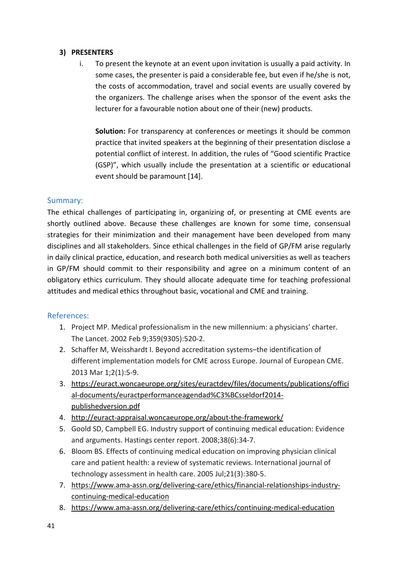### **3) PRESENTERS**

i. To present the keynote at an event upon invitation is usually a paid activity. In some cases, the presenter is paid a considerable fee, but even if he/she is not, the costs of accommodation, travel and social events are usually covered by the organizers. The challenge arises when the sponsor of the event asks the lecturer for a favourable notion about one of their (new) products.

**Solution:** For transparency at conferences or meetings it should be common practice that invited speakers at the beginning of their presentation disclose a potential conflict of interest. In addition, the rules of "Good scientific Practice (GSP)", which usually include the presentation at a scientific or educational event should be paramount [14].

### Summary:

The ethical challenges of participating in, organizing of, or presenting at CME events are shortly outlined above. Because these challenges are known for some time, consensual strategies for their minimization and their management have been developed from many disciplines and all stakeholders. Since ethical challenges in the field of GP/FM arise regularly in daily clinical practice, education, and research both medical universities as well as teachers in GP/FM should commit to their responsibility and agree on a minimum content of an obligatory ethics curriculum. They should allocate adequate time for teaching professional attitudes and medical ethics throughout basic, vocational and CME and training.

- 1. Project MP. Medical professionalism in the new millennium: a physicians' charter. The Lancet. 2002 Feb 9;359(9305):520-2.
- 2. Schaffer M, Weisshardt I. Beyond accreditation systems–the identification of different implementation models for CME across Europe. Journal of European CME. 2013 Mar 1;2(1):5-9.
- 3. [https://euract.woncaeurope.org/sites/euractdev/files/documents/publications/offici](https://euract.woncaeurope.org/sites/euractdev/files/documents/publications/official-documents/euractperformanceagendad%C3%BCsseldorf2014-publishedversion.pdf) al-[documents/euractperformanceagendad%C3%BCsseldorf2014](https://euract.woncaeurope.org/sites/euractdev/files/documents/publications/official-documents/euractperformanceagendad%C3%BCsseldorf2014-publishedversion.pdf) [publishedversion.pdf](https://euract.woncaeurope.org/sites/euractdev/files/documents/publications/official-documents/euractperformanceagendad%C3%BCsseldorf2014-publishedversion.pdf)
- 4. http://euract-[appraisal.woncaeurope.org/about](http://euract-appraisal.woncaeurope.org/about-the-framework/)-the-framework/
- 5. Goold SD, Campbell EG. Industry support of continuing medical education: Evidence and arguments. Hastings center report. 2008;38(6):34-7.
- 6. Bloom BS. Effects of continuing medical education on improving physician clinical care and patient health: a review of systematic reviews. International journal of technology assessment in health care. 2005 Jul;21(3):380-5.
- 7. https://www.ama-assn.org/delivering-care/ethics/financial[-relationships-industry](https://www.ama-assn.org/delivering-care/ethics/financial-relationships-industry-continuing-medical-education)[continuing-medical-education](https://www.ama-assn.org/delivering-care/ethics/financial-relationships-industry-continuing-medical-education)
- 8. https://www.ama-assn.org/delivering-[care/ethics/continuing](https://www.ama-assn.org/delivering-care/ethics/continuing-medical-education)-medical-education